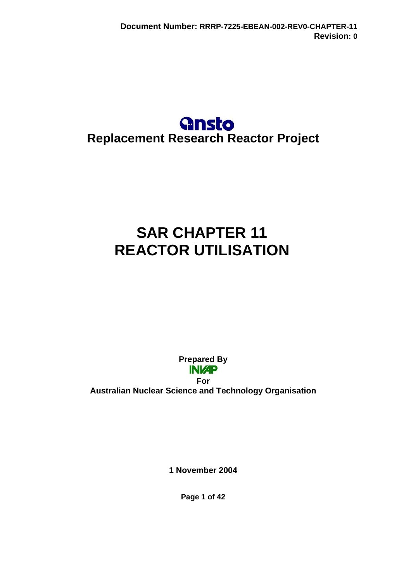## **Gnsto Replacement Research Reactor Project**

# **SAR CHAPTER 11 REACTOR UTILISATION**

**Prepared By INI/AP For Australian Nuclear Science and Technology Organisation** 

**1 November 2004** 

**Page 1 of 42**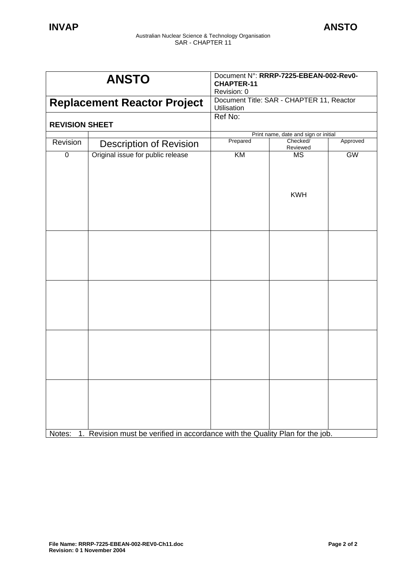| <b>ANSTO</b>                       |                                                                            | Document N°: RRRP-7225-EBEAN-002-Rev0-<br><b>CHAPTER-11</b><br>Revision: 0 |                      |          |
|------------------------------------|----------------------------------------------------------------------------|----------------------------------------------------------------------------|----------------------|----------|
| <b>Replacement Reactor Project</b> |                                                                            | Document Title: SAR - CHAPTER 11, Reactor                                  |                      |          |
|                                    |                                                                            | Utilisation                                                                |                      |          |
| <b>REVISION SHEET</b>              |                                                                            | Ref No:                                                                    |                      |          |
|                                    |                                                                            | Print name, date and sign or initial                                       |                      |          |
| Revision                           | <b>Description of Revision</b>                                             | Prepared                                                                   | Checked/<br>Reviewed | Approved |
| $\pmb{0}$                          | Original issue for public release                                          | KM                                                                         | <b>MS</b>            | GW       |
|                                    |                                                                            |                                                                            | <b>KWH</b>           |          |
|                                    |                                                                            |                                                                            |                      |          |
|                                    |                                                                            |                                                                            |                      |          |
|                                    |                                                                            |                                                                            |                      |          |
| Notes:<br>1.                       | Revision must be verified in accordance with the Quality Plan for the job. |                                                                            |                      |          |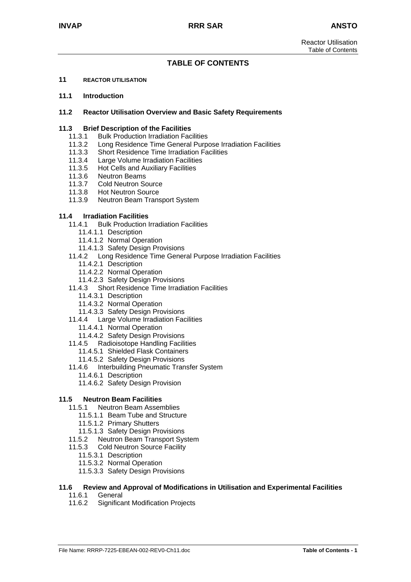## **TABLE OF CONTENTS**

#### **11 REACTOR UTILISATION**

#### **11.1 Introduction**

#### **11.2 Reactor Utilisation Overview and Basic Safety Requirements**

#### **11.3 Brief Description of the Facilities**

- 11.3.1 Bulk Production Irradiation Facilities
- 11.3.2 Long Residence Time General Purpose Irradiation Facilities
- 11.3.3 Short Residence Time Irradiation Facilities
- 11.3.4 Large Volume Irradiation Facilities
- 11.3.5 Hot Cells and Auxiliary Facilities
- 11.3.6 Neutron Beams
- 11.3.7 Cold Neutron Source
- 11.3.8 Hot Neutron Source
- 11.3.9 Neutron Beam Transport System

#### **11.4 Irradiation Facilities**

- 11.4.1 Bulk Production Irradiation Facilities
	- 11.4.1.1 Description
	- 11.4.1.2 Normal Operation
	- 11.4.1.3 Safety Design Provisions
- 11.4.2 Long Residence Time General Purpose Irradiation Facilities
	- 11.4.2.1 Description
	- 11.4.2.2 Normal Operation
	- 11.4.2.3 Safety Design Provisions
- 11.4.3 Short Residence Time Irradiation Facilities
	- 11.4.3.1 Description
	- 11.4.3.2 Normal Operation
	- 11.4.3.3 Safety Design Provisions
- 11.4.4 Large Volume Irradiation Facilities
	- 11.4.4.1 Normal Operation
	- 11.4.4.2 Safety Design Provisions
- 11.4.5 Radioisotope Handling Facilities
	- 11.4.5.1 Shielded Flask Containers
	- 11.4.5.2 Safety Design Provisions
- 11.4.6 Interbuilding Pneumatic Transfer System
	- 11.4.6.1 Description
	- 11.4.6.2 Safety Design Provision

#### **11.5 Neutron Beam Facilities**

- 11.5.1 Neutron Beam Assemblies
	- 11.5.1.1 Beam Tube and Structure
	- 11.5.1.2 Primary Shutters
	- 11.5.1.3 Safety Design Provisions
- 11.5.2 Neutron Beam Transport System
- 11.5.3 Cold Neutron Source Facility
	- 11.5.3.1 Description
	- 11.5.3.2 Normal Operation
	- 11.5.3.3 Safety Design Provisions

#### **11.6 Review and Approval of Modifications in Utilisation and Experimental Facilities**

- 11.6.1 General
- 11.6.2 Significant Modification Projects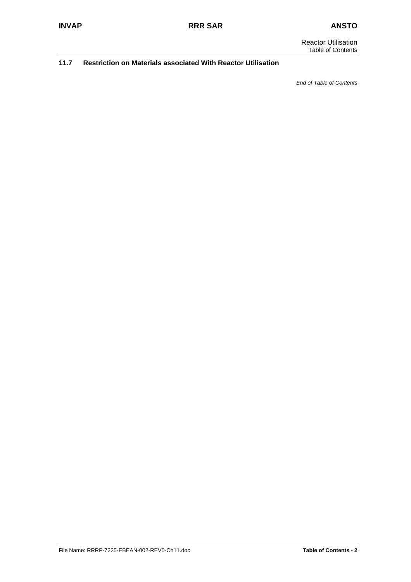Reactor Utilisation Table of Contents

#### **11.7 Restriction on Materials associated With Reactor Utilisation**

*End of Table of Contents*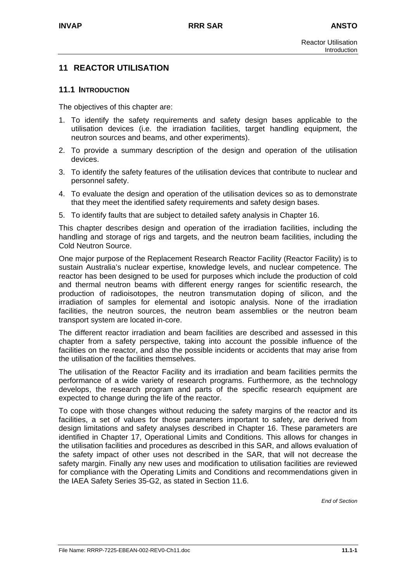## **11 REACTOR UTILISATION**

#### **11.1 INTRODUCTION**

The objectives of this chapter are:

- 1. To identify the safety requirements and safety design bases applicable to the utilisation devices (i.e. the irradiation facilities, target handling equipment, the neutron sources and beams, and other experiments).
- 2. To provide a summary description of the design and operation of the utilisation devices.
- 3. To identify the safety features of the utilisation devices that contribute to nuclear and personnel safety.
- 4. To evaluate the design and operation of the utilisation devices so as to demonstrate that they meet the identified safety requirements and safety design bases.
- 5. To identify faults that are subject to detailed safety analysis in Chapter 16.

This chapter describes design and operation of the irradiation facilities, including the handling and storage of rigs and targets, and the neutron beam facilities, including the Cold Neutron Source.

One major purpose of the Replacement Research Reactor Facility (Reactor Facility) is to sustain Australia's nuclear expertise, knowledge levels, and nuclear competence. The reactor has been designed to be used for purposes which include the production of cold and thermal neutron beams with different energy ranges for scientific research, the production of radioisotopes, the neutron transmutation doping of silicon, and the irradiation of samples for elemental and isotopic analysis. None of the irradiation facilities, the neutron sources, the neutron beam assemblies or the neutron beam transport system are located in-core.

The different reactor irradiation and beam facilities are described and assessed in this chapter from a safety perspective, taking into account the possible influence of the facilities on the reactor, and also the possible incidents or accidents that may arise from the utilisation of the facilities themselves.

The utilisation of the Reactor Facility and its irradiation and beam facilities permits the performance of a wide variety of research programs. Furthermore, as the technology develops, the research program and parts of the specific research equipment are expected to change during the life of the reactor.

To cope with those changes without reducing the safety margins of the reactor and its facilities, a set of values for those parameters important to safety, are derived from design limitations and safety analyses described in Chapter 16. These parameters are identified in Chapter 17, Operational Limits and Conditions. This allows for changes in the utilisation facilities and procedures as described in this SAR, and allows evaluation of the safety impact of other uses not described in the SAR, that will not decrease the safety margin. Finally any new uses and modification to utilisation facilities are reviewed for compliance with the Operating Limits and Conditions and recommendations given in the IAEA Safety Series 35-G2, as stated in Section 11.6.

*End of Section*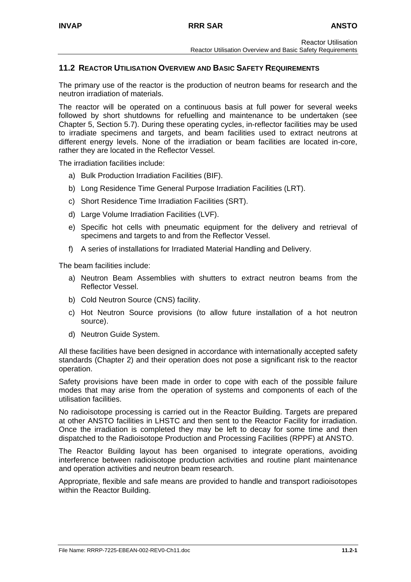## **11.2 REACTOR UTILISATION OVERVIEW AND BASIC SAFETY REQUIREMENTS**

The primary use of the reactor is the production of neutron beams for research and the neutron irradiation of materials.

The reactor will be operated on a continuous basis at full power for several weeks followed by short shutdowns for refuelling and maintenance to be undertaken (see Chapter 5, Section 5.7). During these operating cycles, in-reflector facilities may be used to irradiate specimens and targets, and beam facilities used to extract neutrons at different energy levels. None of the irradiation or beam facilities are located in-core, rather they are located in the Reflector Vessel.

The irradiation facilities include:

- a) Bulk Production Irradiation Facilities (BIF).
- b) Long Residence Time General Purpose Irradiation Facilities (LRT).
- c) Short Residence Time Irradiation Facilities (SRT).
- d) Large Volume Irradiation Facilities (LVF).
- e) Specific hot cells with pneumatic equipment for the delivery and retrieval of specimens and targets to and from the Reflector Vessel.
- f) A series of installations for Irradiated Material Handling and Delivery.

The beam facilities include:

- a) Neutron Beam Assemblies with shutters to extract neutron beams from the Reflector Vessel.
- b) Cold Neutron Source (CNS) facility.
- c) Hot Neutron Source provisions (to allow future installation of a hot neutron source).
- d) Neutron Guide System.

All these facilities have been designed in accordance with internationally accepted safety standards (Chapter 2) and their operation does not pose a significant risk to the reactor operation.

Safety provisions have been made in order to cope with each of the possible failure modes that may arise from the operation of systems and components of each of the utilisation facilities.

No radioisotope processing is carried out in the Reactor Building. Targets are prepared at other ANSTO facilities in LHSTC and then sent to the Reactor Facility for irradiation. Once the irradiation is completed they may be left to decay for some time and then dispatched to the Radioisotope Production and Processing Facilities (RPPF) at ANSTO.

The Reactor Building layout has been organised to integrate operations, avoiding interference between radioisotope production activities and routine plant maintenance and operation activities and neutron beam research.

Appropriate, flexible and safe means are provided to handle and transport radioisotopes within the Reactor Building.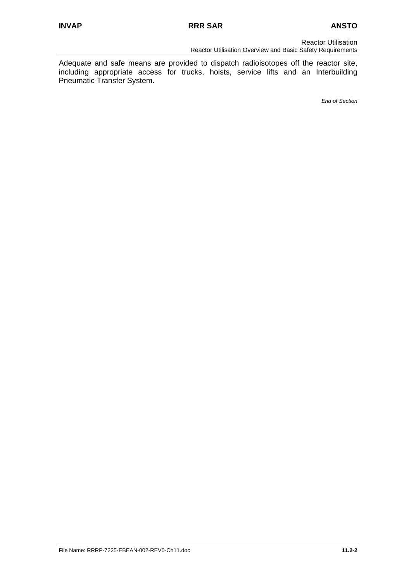Reactor Utilisation Reactor Utilisation Overview and Basic Safety Requirements

Adequate and safe means are provided to dispatch radioisotopes off the reactor site, including appropriate access for trucks, hoists, service lifts and an Interbuilding Pneumatic Transfer System.

*End of Section*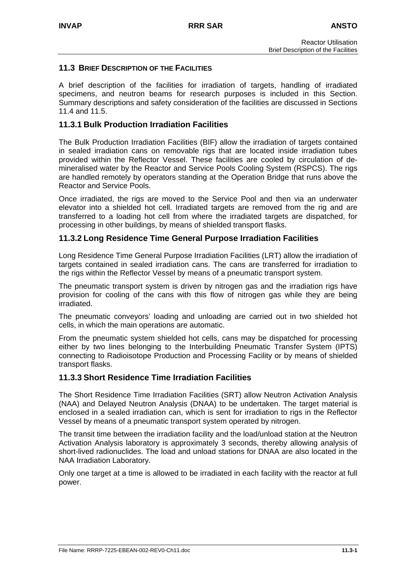## **11.3 BRIEF DESCRIPTION OF THE FACILITIES**

A brief description of the facilities for irradiation of targets, handling of irradiated specimens, and neutron beams for research purposes is included in this Section. Summary descriptions and safety consideration of the facilities are discussed in Sections 11.4 and 11.5.

## **11.3.1 Bulk Production Irradiation Facilities**

The Bulk Production Irradiation Facilities (BIF) allow the irradiation of targets contained in sealed irradiation cans on removable rigs that are located inside irradiation tubes provided within the Reflector Vessel. These facilities are cooled by circulation of demineralised water by the Reactor and Service Pools Cooling System (RSPCS). The rigs are handled remotely by operators standing at the Operation Bridge that runs above the Reactor and Service Pools.

Once irradiated, the rigs are moved to the Service Pool and then via an underwater elevator into a shielded hot cell. Irradiated targets are removed from the rig and are transferred to a loading hot cell from where the irradiated targets are dispatched, for processing in other buildings, by means of shielded transport flasks.

## **11.3.2 Long Residence Time General Purpose Irradiation Facilities**

Long Residence Time General Purpose Irradiation Facilities (LRT) allow the irradiation of targets contained in sealed irradiation cans. The cans are transferred for irradiation to the rigs within the Reflector Vessel by means of a pneumatic transport system.

The pneumatic transport system is driven by nitrogen gas and the irradiation rigs have provision for cooling of the cans with this flow of nitrogen gas while they are being irradiated.

The pneumatic conveyors' loading and unloading are carried out in two shielded hot cells, in which the main operations are automatic.

From the pneumatic system shielded hot cells, cans may be dispatched for processing either by two lines belonging to the Interbuilding Pneumatic Transfer System (IPTS) connecting to Radioisotope Production and Processing Facility or by means of shielded transport flasks.

## **11.3.3 Short Residence Time Irradiation Facilities**

The Short Residence Time Irradiation Facilities (SRT) allow Neutron Activation Analysis (NAA) and Delayed Neutron Analysis (DNAA) to be undertaken. The target material is enclosed in a sealed irradiation can, which is sent for irradiation to rigs in the Reflector Vessel by means of a pneumatic transport system operated by nitrogen.

The transit time between the irradiation facility and the load/unload station at the Neutron Activation Analysis laboratory is approximately 3 seconds, thereby allowing analysis of short-lived radionuclides. The load and unload stations for DNAA are also located in the NAA Irradiation Laboratory.

Only one target at a time is allowed to be irradiated in each facility with the reactor at full power.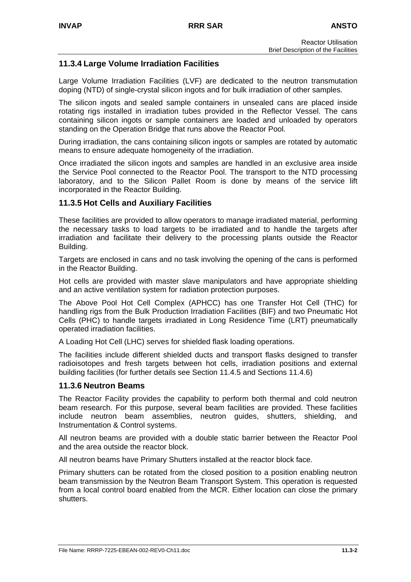## **11.3.4 Large Volume Irradiation Facilities**

Large Volume Irradiation Facilities (LVF) are dedicated to the neutron transmutation doping (NTD) of single-crystal silicon ingots and for bulk irradiation of other samples.

The silicon ingots and sealed sample containers in unsealed cans are placed inside rotating rigs installed in irradiation tubes provided in the Reflector Vessel. The cans containing silicon ingots or sample containers are loaded and unloaded by operators standing on the Operation Bridge that runs above the Reactor Pool.

During irradiation, the cans containing silicon ingots or samples are rotated by automatic means to ensure adequate homogeneity of the irradiation.

Once irradiated the silicon ingots and samples are handled in an exclusive area inside the Service Pool connected to the Reactor Pool. The transport to the NTD processing laboratory, and to the Silicon Pallet Room is done by means of the service lift incorporated in the Reactor Building.

## **11.3.5 Hot Cells and Auxiliary Facilities**

These facilities are provided to allow operators to manage irradiated material, performing the necessary tasks to load targets to be irradiated and to handle the targets after irradiation and facilitate their delivery to the processing plants outside the Reactor Building.

Targets are enclosed in cans and no task involving the opening of the cans is performed in the Reactor Building.

Hot cells are provided with master slave manipulators and have appropriate shielding and an active ventilation system for radiation protection purposes.

The Above Pool Hot Cell Complex (APHCC) has one Transfer Hot Cell (THC) for handling rigs from the Bulk Production Irradiation Facilities (BIF) and two Pneumatic Hot Cells (PHC) to handle targets irradiated in Long Residence Time (LRT) pneumatically operated irradiation facilities.

A Loading Hot Cell (LHC) serves for shielded flask loading operations.

The facilities include different shielded ducts and transport flasks designed to transfer radioisotopes and fresh targets between hot cells, irradiation positions and external building facilities (for further details see Section 11.4.5 and Sections 11.4.6)

## **11.3.6 Neutron Beams**

The Reactor Facility provides the capability to perform both thermal and cold neutron beam research. For this purpose, several beam facilities are provided. These facilities include neutron beam assemblies, neutron guides, shutters, shielding, and Instrumentation & Control systems.

All neutron beams are provided with a double static barrier between the Reactor Pool and the area outside the reactor block.

All neutron beams have Primary Shutters installed at the reactor block face.

Primary shutters can be rotated from the closed position to a position enabling neutron beam transmission by the Neutron Beam Transport System. This operation is requested from a local control board enabled from the MCR. Either location can close the primary shutters.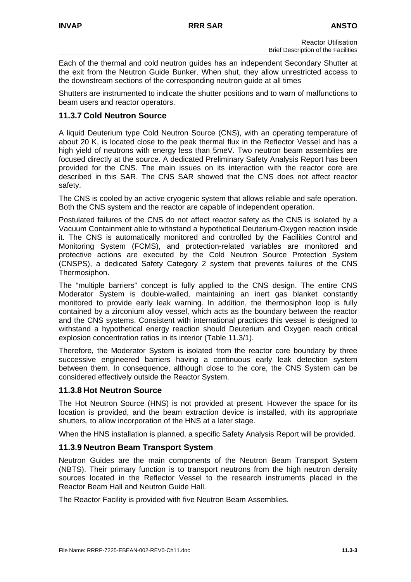Each of the thermal and cold neutron guides has an independent Secondary Shutter at the exit from the Neutron Guide Bunker. When shut, they allow unrestricted access to the downstream sections of the corresponding neutron guide at all times

Shutters are instrumented to indicate the shutter positions and to warn of malfunctions to beam users and reactor operators.

## **11.3.7 Cold Neutron Source**

A liquid Deuterium type Cold Neutron Source (CNS), with an operating temperature of about 20 K, is located close to the peak thermal flux in the Reflector Vessel and has a high yield of neutrons with energy less than 5meV. Two neutron beam assemblies are focused directly at the source. A dedicated Preliminary Safety Analysis Report has been provided for the CNS. The main issues on its interaction with the reactor core are described in this SAR. The CNS SAR showed that the CNS does not affect reactor safety.

The CNS is cooled by an active cryogenic system that allows reliable and safe operation. Both the CNS system and the reactor are capable of independent operation.

Postulated failures of the CNS do not affect reactor safety as the CNS is isolated by a Vacuum Containment able to withstand a hypothetical Deuterium-Oxygen reaction inside it. The CNS is automatically monitored and controlled by the Facilities Control and Monitoring System (FCMS), and protection-related variables are monitored and protective actions are executed by the Cold Neutron Source Protection System (CNSPS), a dedicated Safety Category 2 system that prevents failures of the CNS Thermosiphon.

The "multiple barriers" concept is fully applied to the CNS design. The entire CNS Moderator System is double-walled, maintaining an inert gas blanket constantly monitored to provide early leak warning. In addition, the thermosiphon loop is fully contained by a zirconium alloy vessel, which acts as the boundary between the reactor and the CNS systems. Consistent with international practices this vessel is designed to withstand a hypothetical energy reaction should Deuterium and Oxygen reach critical explosion concentration ratios in its interior (Table 11.3/1).

Therefore, the Moderator System is isolated from the reactor core boundary by three successive engineered barriers having a continuous early leak detection system between them. In consequence, although close to the core, the CNS System can be considered effectively outside the Reactor System.

## **11.3.8 Hot Neutron Source**

The Hot Neutron Source (HNS) is not provided at present. However the space for its location is provided, and the beam extraction device is installed, with its appropriate shutters, to allow incorporation of the HNS at a later stage.

When the HNS installation is planned, a specific Safety Analysis Report will be provided.

## **11.3.9 Neutron Beam Transport System**

Neutron Guides are the main components of the Neutron Beam Transport System (NBTS). Their primary function is to transport neutrons from the high neutron density sources located in the Reflector Vessel to the research instruments placed in the Reactor Beam Hall and Neutron Guide Hall.

The Reactor Facility is provided with five Neutron Beam Assemblies.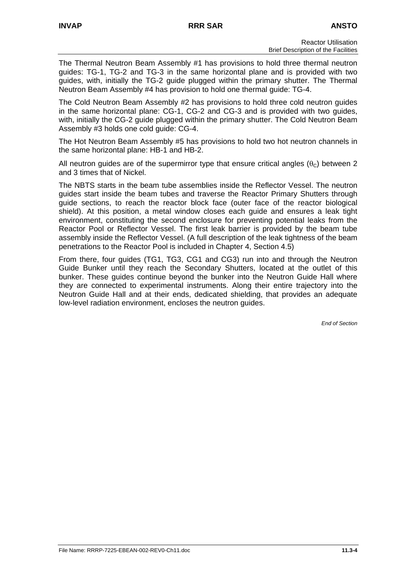The Thermal Neutron Beam Assembly #1 has provisions to hold three thermal neutron guides: TG-1, TG-2 and TG-3 in the same horizontal plane and is provided with two guides, with, initially the TG-2 guide plugged within the primary shutter. The Thermal Neutron Beam Assembly #4 has provision to hold one thermal guide: TG-4.

The Cold Neutron Beam Assembly #2 has provisions to hold three cold neutron guides in the same horizontal plane: CG-1, CG-2 and CG-3 and is provided with two guides, with, initially the CG-2 guide plugged within the primary shutter. The Cold Neutron Beam Assembly #3 holds one cold guide: CG-4.

The Hot Neutron Beam Assembly #5 has provisions to hold two hot neutron channels in the same horizontal plane: HB-1 and HB-2.

All neutron quides are of the supermirror type that ensure critical angles ( $\theta_c$ ) between 2 and 3 times that of Nickel.

The NBTS starts in the beam tube assemblies inside the Reflector Vessel. The neutron guides start inside the beam tubes and traverse the Reactor Primary Shutters through guide sections, to reach the reactor block face (outer face of the reactor biological shield). At this position, a metal window closes each guide and ensures a leak tight environment, constituting the second enclosure for preventing potential leaks from the Reactor Pool or Reflector Vessel. The first leak barrier is provided by the beam tube assembly inside the Reflector Vessel. (A full description of the leak tightness of the beam penetrations to the Reactor Pool is included in Chapter 4, Section 4.5)

From there, four guides (TG1, TG3, CG1 and CG3) run into and through the Neutron Guide Bunker until they reach the Secondary Shutters, located at the outlet of this bunker. These guides continue beyond the bunker into the Neutron Guide Hall where they are connected to experimental instruments. Along their entire trajectory into the Neutron Guide Hall and at their ends, dedicated shielding, that provides an adequate low-level radiation environment, encloses the neutron guides.

*End of Section*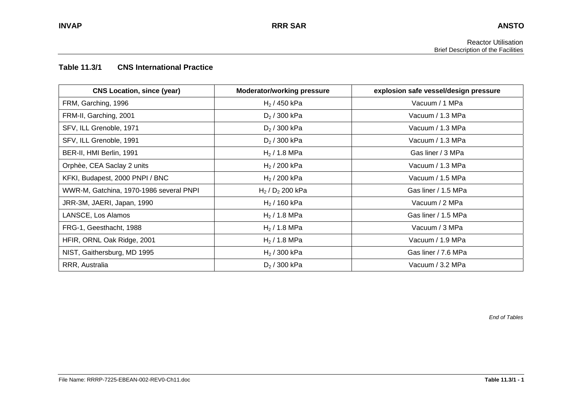#### **Table 11.3/1 CNS International Practice**

| <b>CNS Location, since (year)</b>       | <b>Moderator/working pressure</b> | explosion safe vessel/design pressure |
|-----------------------------------------|-----------------------------------|---------------------------------------|
| FRM, Garching, 1996                     | $H_2$ / 450 kPa                   | Vacuum / 1 MPa                        |
| FRM-II, Garching, 2001                  | $D_2 / 300$ kPa                   | Vacuum / 1.3 MPa                      |
| SFV, ILL Grenoble, 1971                 | $D_2 / 300$ kPa                   | Vacuum / 1.3 MPa                      |
| SFV, ILL Grenoble, 1991                 | $D_2 / 300$ kPa                   | Vacuum / 1.3 MPa                      |
| BER-II, HMI Berlin, 1991                | $H_2$ / 1.8 MPa                   | Gas liner / 3 MPa                     |
| Orphèe, CEA Saclay 2 units              | $H_2$ / 200 kPa                   | Vacuum / 1.3 MPa                      |
| KFKI, Budapest, 2000 PNPI / BNC         | $H_2$ / 200 kPa                   | Vacuum / 1.5 MPa                      |
| WWR-M, Gatchina, 1970-1986 several PNPI | $H_2$ / $D_2$ 200 kPa             | Gas liner / 1.5 MPa                   |
| JRR-3M, JAERI, Japan, 1990              | $H_2$ / 160 kPa                   | Vacuum / 2 MPa                        |
| LANSCE, Los Alamos                      | $H_2$ / 1.8 MPa                   | Gas liner / 1.5 MPa                   |
| FRG-1, Geesthacht, 1988                 | $H_2$ / 1.8 MPa                   | Vacuum / 3 MPa                        |
| HFIR, ORNL Oak Ridge, 2001              | $H_2$ / 1.8 MPa                   | Vacuum / 1.9 MPa                      |
| NIST, Gaithersburg, MD 1995             | $H_2$ / 300 kPa                   | Gas liner / 7.6 MPa                   |
| RRR, Australia                          | $D_2 / 300$ kPa                   | Vacuum / 3.2 MPa                      |

*End of Tables*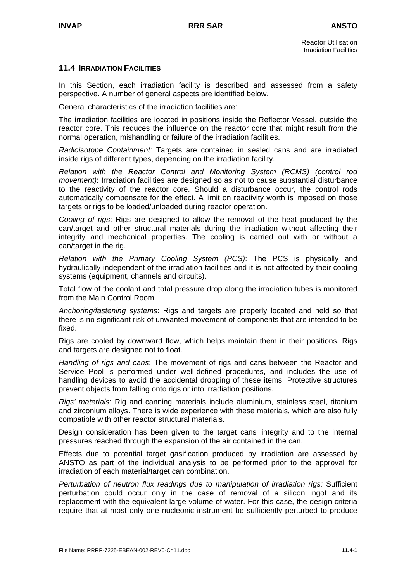#### **11.4 IRRADIATION FACILITIES**

In this Section, each irradiation facility is described and assessed from a safety perspective. A number of general aspects are identified below.

General characteristics of the irradiation facilities are:

The irradiation facilities are located in positions inside the Reflector Vessel, outside the reactor core. This reduces the influence on the reactor core that might result from the normal operation, mishandling or failure of the irradiation facilities.

*Radioisotope Containment*: Targets are contained in sealed cans and are irradiated inside rigs of different types, depending on the irradiation facility.

*Relation with the Reactor Control and Monitoring System (RCMS) (control rod movement)*: Irradiation facilities are designed so as not to cause substantial disturbance to the reactivity of the reactor core. Should a disturbance occur, the control rods automatically compensate for the effect. A limit on reactivity worth is imposed on those targets or rigs to be loaded/unloaded during reactor operation.

*Cooling of rigs*: Rigs are designed to allow the removal of the heat produced by the can/target and other structural materials during the irradiation without affecting their integrity and mechanical properties. The cooling is carried out with or without a can/target in the rig.

*Relation with the Primary Cooling System (PCS)*: The PCS is physically and hydraulically independent of the irradiation facilities and it is not affected by their cooling systems (equipment, channels and circuits).

Total flow of the coolant and total pressure drop along the irradiation tubes is monitored from the Main Control Room.

*Anchoring/fastening systems*: Rigs and targets are properly located and held so that there is no significant risk of unwanted movement of components that are intended to be fixed.

Rigs are cooled by downward flow, which helps maintain them in their positions. Rigs and targets are designed not to float.

*Handling of rigs and cans*: The movement of rigs and cans between the Reactor and Service Pool is performed under well-defined procedures, and includes the use of handling devices to avoid the accidental dropping of these items. Protective structures prevent objects from falling onto rigs or into irradiation positions.

*Rigs' materials*: Rig and canning materials include aluminium, stainless steel, titanium and zirconium alloys. There is wide experience with these materials, which are also fully compatible with other reactor structural materials.

Design consideration has been given to the target cans' integrity and to the internal pressures reached through the expansion of the air contained in the can.

Effects due to potential target gasification produced by irradiation are assessed by ANSTO as part of the individual analysis to be performed prior to the approval for irradiation of each material/target can combination.

*Perturbation of neutron flux readings due to manipulation of irradiation rigs:* Sufficient perturbation could occur only in the case of removal of a silicon ingot and its replacement with the equivalent large volume of water. For this case, the design criteria require that at most only one nucleonic instrument be sufficiently perturbed to produce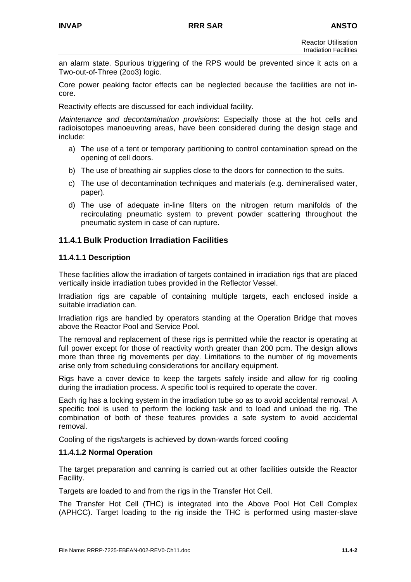an alarm state. Spurious triggering of the RPS would be prevented since it acts on a Two-out-of-Three (2oo3) logic.

Core power peaking factor effects can be neglected because the facilities are not incore.

Reactivity effects are discussed for each individual facility.

*Maintenance and decontamination provisions*: Especially those at the hot cells and radioisotopes manoeuvring areas, have been considered during the design stage and include:

- a) The use of a tent or temporary partitioning to control contamination spread on the opening of cell doors.
- b) The use of breathing air supplies close to the doors for connection to the suits.
- c) The use of decontamination techniques and materials (e.g. demineralised water, paper).
- d) The use of adequate in-line filters on the nitrogen return manifolds of the recirculating pneumatic system to prevent powder scattering throughout the pneumatic system in case of can rupture.

## **11.4.1 Bulk Production Irradiation Facilities**

## **11.4.1.1 Description**

These facilities allow the irradiation of targets contained in irradiation rigs that are placed vertically inside irradiation tubes provided in the Reflector Vessel.

Irradiation rigs are capable of containing multiple targets, each enclosed inside a suitable irradiation can.

Irradiation rigs are handled by operators standing at the Operation Bridge that moves above the Reactor Pool and Service Pool.

The removal and replacement of these rigs is permitted while the reactor is operating at full power except for those of reactivity worth greater than 200 pcm. The design allows more than three rig movements per day. Limitations to the number of rig movements arise only from scheduling considerations for ancillary equipment.

Rigs have a cover device to keep the targets safely inside and allow for rig cooling during the irradiation process. A specific tool is required to operate the cover.

Each rig has a locking system in the irradiation tube so as to avoid accidental removal. A specific tool is used to perform the locking task and to load and unload the rig. The combination of both of these features provides a safe system to avoid accidental removal.

Cooling of the rigs/targets is achieved by down-wards forced cooling

### **11.4.1.2 Normal Operation**

The target preparation and canning is carried out at other facilities outside the Reactor Facility.

Targets are loaded to and from the rigs in the Transfer Hot Cell.

The Transfer Hot Cell (THC) is integrated into the Above Pool Hot Cell Complex (APHCC). Target loading to the rig inside the THC is performed using master-slave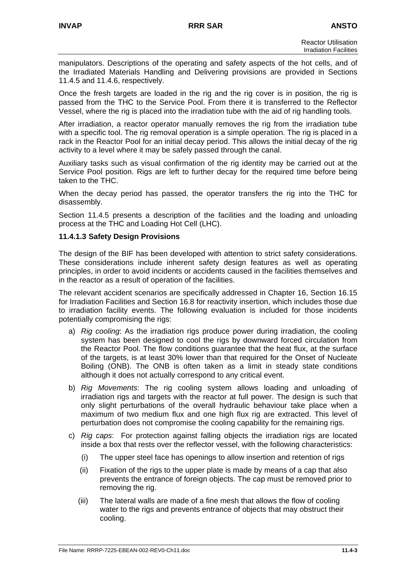manipulators. Descriptions of the operating and safety aspects of the hot cells, and of the Irradiated Materials Handling and Delivering provisions are provided in Sections 11.4.5 and 11.4.6, respectively.

Once the fresh targets are loaded in the rig and the rig cover is in position, the rig is passed from the THC to the Service Pool. From there it is transferred to the Reflector Vessel, where the rig is placed into the irradiation tube with the aid of rig handling tools.

After irradiation, a reactor operator manually removes the rig from the irradiation tube with a specific tool. The rig removal operation is a simple operation. The rig is placed in a rack in the Reactor Pool for an initial decay period. This allows the initial decay of the rig activity to a level where it may be safely passed through the canal.

Auxiliary tasks such as visual confirmation of the rig identity may be carried out at the Service Pool position. Rigs are left to further decay for the required time before being taken to the THC.

When the decay period has passed, the operator transfers the rig into the THC for disassembly.

Section 11.4.5 presents a description of the facilities and the loading and unloading process at the THC and Loading Hot Cell (LHC).

#### **11.4.1.3 Safety Design Provisions**

The design of the BIF has been developed with attention to strict safety considerations. These considerations include inherent safety design features as well as operating principles, in order to avoid incidents or accidents caused in the facilities themselves and in the reactor as a result of operation of the facilities.

The relevant accident scenarios are specifically addressed in Chapter 16, Section 16.15 for Irradiation Facilities and Section 16.8 for reactivity insertion, which includes those due to irradiation facility events. The following evaluation is included for those incidents potentially compromising the rigs:

- a) *Rig cooling*: As the irradiation rigs produce power during irradiation, the cooling system has been designed to cool the rigs by downward forced circulation from the Reactor Pool. The flow conditions guarantee that the heat flux, at the surface of the targets, is at least 30% lower than that required for the Onset of Nucleate Boiling (ONB). The ONB is often taken as a limit in steady state conditions although it does not actually correspond to any critical event.
- b) *Rig Movements*: The rig cooling system allows loading and unloading of irradiation rigs and targets with the reactor at full power. The design is such that only slight perturbations of the overall hydraulic behaviour take place when a maximum of two medium flux and one high flux rig are extracted. This level of perturbation does not compromise the cooling capability for the remaining rigs.
- c) *Rig caps*: For protection against falling objects the irradiation rigs are located inside a box that rests over the reflector vessel, with the following characteristics:
	- (i) The upper steel face has openings to allow insertion and retention of rigs
	- (ii) Fixation of the rigs to the upper plate is made by means of a cap that also prevents the entrance of foreign objects. The cap must be removed prior to removing the rig.
	- (iii) The lateral walls are made of a fine mesh that allows the flow of cooling water to the rigs and prevents entrance of objects that may obstruct their cooling.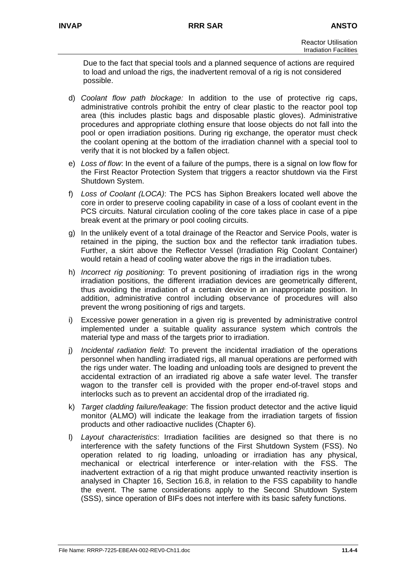Due to the fact that special tools and a planned sequence of actions are required to load and unload the rigs, the inadvertent removal of a rig is not considered possible.

- d) *Coolant flow path blockage:* In addition to the use of protective rig caps, administrative controls prohibit the entry of clear plastic to the reactor pool top area (this includes plastic bags and disposable plastic gloves). Administrative procedures and appropriate clothing ensure that loose objects do not fall into the pool or open irradiation positions. During rig exchange, the operator must check the coolant opening at the bottom of the irradiation channel with a special tool to verify that it is not blocked by a fallen object.
- e) *Loss of flow*: In the event of a failure of the pumps, there is a signal on low flow for the First Reactor Protection System that triggers a reactor shutdown via the First Shutdown System.
- f) *Loss of Coolant (LOCA)*: The PCS has Siphon Breakers located well above the core in order to preserve cooling capability in case of a loss of coolant event in the PCS circuits. Natural circulation cooling of the core takes place in case of a pipe break event at the primary or pool cooling circuits.
- g) In the unlikely event of a total drainage of the Reactor and Service Pools, water is retained in the piping, the suction box and the reflector tank irradiation tubes. Further, a skirt above the Reflector Vessel (Irradiation Rig Coolant Container) would retain a head of cooling water above the rigs in the irradiation tubes.
- h) *Incorrect rig positioning*: To prevent positioning of irradiation rigs in the wrong irradiation positions, the different irradiation devices are geometrically different, thus avoiding the irradiation of a certain device in an inappropriate position. In addition, administrative control including observance of procedures will also prevent the wrong positioning of rigs and targets.
- i) Excessive power generation in a given rig is prevented by administrative control implemented under a suitable quality assurance system which controls the material type and mass of the targets prior to irradiation.
- j) *Incidental radiation field*: To prevent the incidental irradiation of the operations personnel when handling irradiated rigs, all manual operations are performed with the rigs under water. The loading and unloading tools are designed to prevent the accidental extraction of an irradiated rig above a safe water level. The transfer wagon to the transfer cell is provided with the proper end-of-travel stops and interlocks such as to prevent an accidental drop of the irradiated rig.
- k) *Target cladding failure/leakage*: The fission product detector and the active liquid monitor (ALMO) will indicate the leakage from the irradiation targets of fission products and other radioactive nuclides (Chapter 6).
- l) *Layout characteristics*: Irradiation facilities are designed so that there is no interference with the safety functions of the First Shutdown System (FSS). No operation related to rig loading, unloading or irradiation has any physical, mechanical or electrical interference or inter-relation with the FSS. The inadvertent extraction of a rig that might produce unwanted reactivity insertion is analysed in Chapter 16, Section 16.8, in relation to the FSS capability to handle the event. The same considerations apply to the Second Shutdown System (SSS), since operation of BIFs does not interfere with its basic safety functions.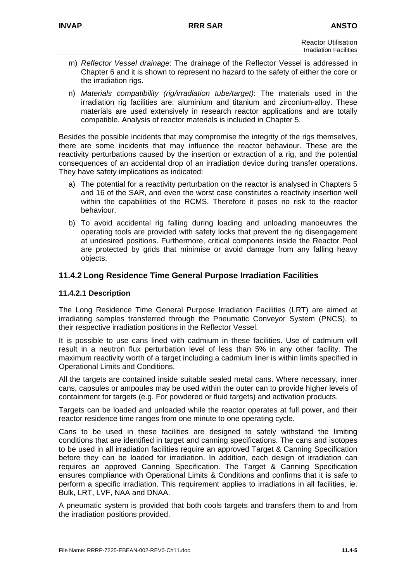- m) *Reflector Vessel drainage*: The drainage of the Reflector Vessel is addressed in Chapter 6 and it is shown to represent no hazard to the safety of either the core or the irradiation rigs.
- n) *Materials compatibility (rig/irradiation tube/target)*: The materials used in the irradiation rig facilities are: aluminium and titanium and zirconium-alloy. These materials are used extensively in research reactor applications and are totally compatible. Analysis of reactor materials is included in Chapter 5.

Besides the possible incidents that may compromise the integrity of the rigs themselves, there are some incidents that may influence the reactor behaviour. These are the reactivity perturbations caused by the insertion or extraction of a rig, and the potential consequences of an accidental drop of an irradiation device during transfer operations. They have safety implications as indicated:

- a) The potential for a reactivity perturbation on the reactor is analysed in Chapters 5 and 16 of the SAR, and even the worst case constitutes a reactivity insertion well within the capabilities of the RCMS. Therefore it poses no risk to the reactor behaviour.
- b) To avoid accidental rig falling during loading and unloading manoeuvres the operating tools are provided with safety locks that prevent the rig disengagement at undesired positions. Furthermore, critical components inside the Reactor Pool are protected by grids that minimise or avoid damage from any falling heavy objects.

## **11.4.2 Long Residence Time General Purpose Irradiation Facilities**

## **11.4.2.1 Description**

The Long Residence Time General Purpose Irradiation Facilities (LRT) are aimed at irradiating samples transferred through the Pneumatic Conveyor System (PNCS), to their respective irradiation positions in the Reflector Vessel.

It is possible to use cans lined with cadmium in these facilities. Use of cadmium will result in a neutron flux perturbation level of less than 5% in any other facility. The maximum reactivity worth of a target including a cadmium liner is within limits specified in Operational Limits and Conditions.

All the targets are contained inside suitable sealed metal cans. Where necessary, inner cans, capsules or ampoules may be used within the outer can to provide higher levels of containment for targets (e.g. For powdered or fluid targets) and activation products.

Targets can be loaded and unloaded while the reactor operates at full power, and their reactor residence time ranges from one minute to one operating cycle.

Cans to be used in these facilities are designed to safely withstand the limiting conditions that are identified in target and canning specifications. The cans and isotopes to be used in all irradiation facilities require an approved Target & Canning Specification before they can be loaded for irradiation. In addition, each design of irradiation can requires an approved Canning Specification. The Target & Canning Specification ensures compliance with Operational Limits & Conditions and confirms that it is safe to perform a specific irradiation. This requirement applies to irradiations in all facilities, ie. Bulk, LRT, LVF, NAA and DNAA.

A pneumatic system is provided that both cools targets and transfers them to and from the irradiation positions provided.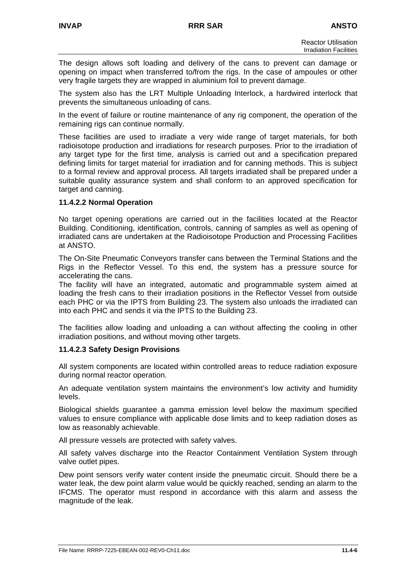The design allows soft loading and delivery of the cans to prevent can damage or opening on impact when transferred to/from the rigs. In the case of ampoules or other very fragile targets they are wrapped in aluminium foil to prevent damage.

The system also has the LRT Multiple Unloading Interlock, a hardwired interlock that prevents the simultaneous unloading of cans.

In the event of failure or routine maintenance of any rig component, the operation of the remaining rigs can continue normally.

These facilities are used to irradiate a very wide range of target materials, for both radioisotope production and irradiations for research purposes. Prior to the irradiation of any target type for the first time, analysis is carried out and a specification prepared defining limits for target material for irradiation and for canning methods. This is subject to a formal review and approval process. All targets irradiated shall be prepared under a suitable quality assurance system and shall conform to an approved specification for target and canning.

## **11.4.2.2 Normal Operation**

No target opening operations are carried out in the facilities located at the Reactor Building. Conditioning, identification, controls, canning of samples as well as opening of irradiated cans are undertaken at the Radioisotope Production and Processing Facilities at ANSTO.

The On-Site Pneumatic Conveyors transfer cans between the Terminal Stations and the Rigs in the Reflector Vessel. To this end, the system has a pressure source for accelerating the cans.

The facility will have an integrated, automatic and programmable system aimed at loading the fresh cans to their irradiation positions in the Reflector Vessel from outside each PHC or via the IPTS from Building 23. The system also unloads the irradiated can into each PHC and sends it via the IPTS to the Building 23.

The facilities allow loading and unloading a can without affecting the cooling in other irradiation positions, and without moving other targets.

#### **11.4.2.3 Safety Design Provisions**

All system components are located within controlled areas to reduce radiation exposure during normal reactor operation.

An adequate ventilation system maintains the environment's low activity and humidity levels.

Biological shields guarantee a gamma emission level below the maximum specified values to ensure compliance with applicable dose limits and to keep radiation doses as low as reasonably achievable.

All pressure vessels are protected with safety valves.

All safety valves discharge into the Reactor Containment Ventilation System through valve outlet pipes.

Dew point sensors verify water content inside the pneumatic circuit. Should there be a water leak, the dew point alarm value would be quickly reached, sending an alarm to the IFCMS. The operator must respond in accordance with this alarm and assess the magnitude of the leak.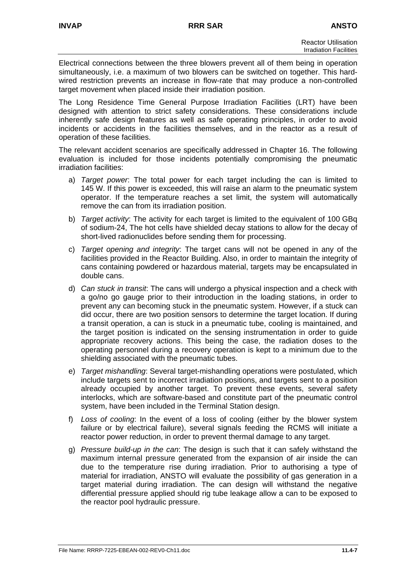Electrical connections between the three blowers prevent all of them being in operation simultaneously, i.e. a maximum of two blowers can be switched on together. This hardwired restriction prevents an increase in flow-rate that may produce a non-controlled target movement when placed inside their irradiation position.

The Long Residence Time General Purpose Irradiation Facilities (LRT) have been designed with attention to strict safety considerations. These considerations include inherently safe design features as well as safe operating principles, in order to avoid incidents or accidents in the facilities themselves, and in the reactor as a result of operation of these facilities.

The relevant accident scenarios are specifically addressed in Chapter 16. The following evaluation is included for those incidents potentially compromising the pneumatic irradiation facilities:

- a) *Target power*: The total power for each target including the can is limited to 145 W. If this power is exceeded, this will raise an alarm to the pneumatic system operator. If the temperature reaches a set limit, the system will automatically remove the can from its irradiation position.
- b) *Target activity*: The activity for each target is limited to the equivalent of 100 GBq of sodium-24, The hot cells have shielded decay stations to allow for the decay of short-lived radionuclides before sending them for processing.
- c) *Target opening and integrity*: The target cans will not be opened in any of the facilities provided in the Reactor Building. Also, in order to maintain the integrity of cans containing powdered or hazardous material, targets may be encapsulated in double cans.
- d) *Can stuck in transit*: The cans will undergo a physical inspection and a check with a go/no go gauge prior to their introduction in the loading stations, in order to prevent any can becoming stuck in the pneumatic system. However, if a stuck can did occur, there are two position sensors to determine the target location. If during a transit operation, a can is stuck in a pneumatic tube, cooling is maintained, and the target position is indicated on the sensing instrumentation in order to guide appropriate recovery actions. This being the case, the radiation doses to the operating personnel during a recovery operation is kept to a minimum due to the shielding associated with the pneumatic tubes.
- e) *Target mishandling*: Several target-mishandling operations were postulated, which include targets sent to incorrect irradiation positions, and targets sent to a position already occupied by another target. To prevent these events, several safety interlocks, which are software-based and constitute part of the pneumatic control system, have been included in the Terminal Station design.
- f) *Loss of cooling*: In the event of a loss of cooling (either by the blower system failure or by electrical failure), several signals feeding the RCMS will initiate a reactor power reduction, in order to prevent thermal damage to any target.
- g) *Pressure build-up in the can*: The design is such that it can safely withstand the maximum internal pressure generated from the expansion of air inside the can due to the temperature rise during irradiation. Prior to authorising a type of material for irradiation, ANSTO will evaluate the possibility of gas generation in a target material during irradiation. The can design will withstand the negative differential pressure applied should rig tube leakage allow a can to be exposed to the reactor pool hydraulic pressure.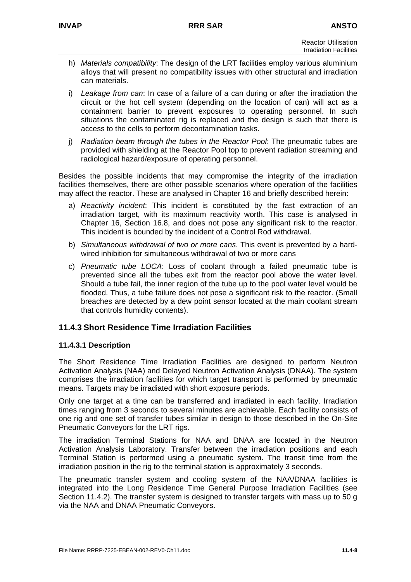- h) *Materials compatibility*: The design of the LRT facilities employ various aluminium alloys that will present no compatibility issues with other structural and irradiation can materials.
- i) *Leakage from can*: In case of a failure of a can during or after the irradiation the circuit or the hot cell system (depending on the location of can) will act as a containment barrier to prevent exposures to operating personnel. In such situations the contaminated rig is replaced and the design is such that there is access to the cells to perform decontamination tasks.
- j) *Radiation beam through the tubes in the Reactor Pool*: The pneumatic tubes are provided with shielding at the Reactor Pool top to prevent radiation streaming and radiological hazard/exposure of operating personnel.

Besides the possible incidents that may compromise the integrity of the irradiation facilities themselves, there are other possible scenarios where operation of the facilities may affect the reactor. These are analysed in Chapter 16 and briefly described herein:

- a) *Reactivity incident*: This incident is constituted by the fast extraction of an irradiation target, with its maximum reactivity worth. This case is analysed in Chapter 16, Section 16.8, and does not pose any significant risk to the reactor. This incident is bounded by the incident of a Control Rod withdrawal.
- b) *Simultaneous withdrawal of two or more cans*. This event is prevented by a hardwired inhibition for simultaneous withdrawal of two or more cans
- c) *Pneumatic tube LOCA*: Loss of coolant through a failed pneumatic tube is prevented since all the tubes exit from the reactor pool above the water level. Should a tube fail, the inner region of the tube up to the pool water level would be flooded. Thus, a tube failure does not pose a significant risk to the reactor. (Small breaches are detected by a dew point sensor located at the main coolant stream that controls humidity contents).

## **11.4.3 Short Residence Time Irradiation Facilities**

## **11.4.3.1 Description**

The Short Residence Time Irradiation Facilities are designed to perform Neutron Activation Analysis (NAA) and Delayed Neutron Activation Analysis (DNAA). The system comprises the irradiation facilities for which target transport is performed by pneumatic means. Targets may be irradiated with short exposure periods.

Only one target at a time can be transferred and irradiated in each facility. Irradiation times ranging from 3 seconds to several minutes are achievable. Each facility consists of one rig and one set of transfer tubes similar in design to those described in the On-Site Pneumatic Conveyors for the LRT rigs.

The irradiation Terminal Stations for NAA and DNAA are located in the Neutron Activation Analysis Laboratory. Transfer between the irradiation positions and each Terminal Station is performed using a pneumatic system. The transit time from the irradiation position in the rig to the terminal station is approximately 3 seconds.

The pneumatic transfer system and cooling system of the NAA/DNAA facilities is integrated into the Long Residence Time General Purpose Irradiation Facilities (see Section 11.4.2). The transfer system is designed to transfer targets with mass up to 50 g via the NAA and DNAA Pneumatic Conveyors.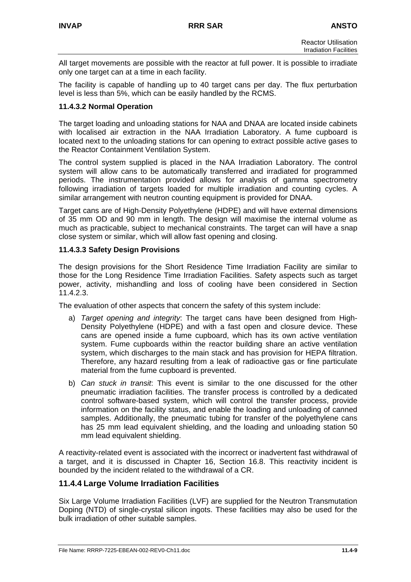All target movements are possible with the reactor at full power. It is possible to irradiate only one target can at a time in each facility.

The facility is capable of handling up to 40 target cans per day. The flux perturbation level is less than 5%, which can be easily handled by the RCMS.

## **11.4.3.2 Normal Operation**

The target loading and unloading stations for NAA and DNAA are located inside cabinets with localised air extraction in the NAA Irradiation Laboratory. A fume cupboard is located next to the unloading stations for can opening to extract possible active gases to the Reactor Containment Ventilation System.

The control system supplied is placed in the NAA Irradiation Laboratory. The control system will allow cans to be automatically transferred and irradiated for programmed periods. The instrumentation provided allows for analysis of gamma spectrometry following irradiation of targets loaded for multiple irradiation and counting cycles. A similar arrangement with neutron counting equipment is provided for DNAA.

Target cans are of High-Density Polyethylene (HDPE) and will have external dimensions of 35 mm OD and 90 mm in length. The design will maximise the internal volume as much as practicable, subject to mechanical constraints. The target can will have a snap close system or similar, which will allow fast opening and closing.

## **11.4.3.3 Safety Design Provisions**

The design provisions for the Short Residence Time Irradiation Facility are similar to those for the Long Residence Time Irradiation Facilities. Safety aspects such as target power, activity, mishandling and loss of cooling have been considered in Section 11.4.2.3.

The evaluation of other aspects that concern the safety of this system include:

- a) *Target opening and integrity*: The target cans have been designed from High-Density Polyethylene (HDPE) and with a fast open and closure device. These cans are opened inside a fume cupboard, which has its own active ventilation system. Fume cupboards within the reactor building share an active ventilation system, which discharges to the main stack and has provision for HEPA filtration. Therefore, any hazard resulting from a leak of radioactive gas or fine particulate material from the fume cupboard is prevented.
- b) *Can stuck in transit*: This event is similar to the one discussed for the other pneumatic irradiation facilities. The transfer process is controlled by a dedicated control software-based system, which will control the transfer process, provide information on the facility status, and enable the loading and unloading of canned samples. Additionally, the pneumatic tubing for transfer of the polyethylene cans has 25 mm lead equivalent shielding, and the loading and unloading station 50 mm lead equivalent shielding.

A reactivity-related event is associated with the incorrect or inadvertent fast withdrawal of a target, and it is discussed in Chapter 16, Section 16.8. This reactivity incident is bounded by the incident related to the withdrawal of a CR.

## **11.4.4 Large Volume Irradiation Facilities**

Six Large Volume Irradiation Facilities (LVF) are supplied for the Neutron Transmutation Doping (NTD) of single-crystal silicon ingots. These facilities may also be used for the bulk irradiation of other suitable samples.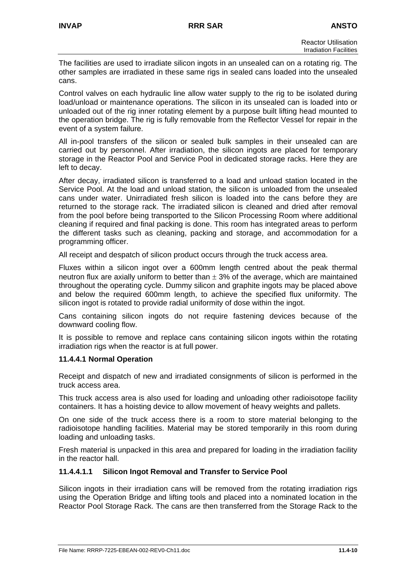The facilities are used to irradiate silicon ingots in an unsealed can on a rotating rig. The other samples are irradiated in these same rigs in sealed cans loaded into the unsealed cans.

Control valves on each hydraulic line allow water supply to the rig to be isolated during load/unload or maintenance operations. The silicon in its unsealed can is loaded into or unloaded out of the rig inner rotating element by a purpose built lifting head mounted to the operation bridge. The rig is fully removable from the Reflector Vessel for repair in the event of a system failure.

All in-pool transfers of the silicon or sealed bulk samples in their unsealed can are carried out by personnel. After irradiation, the silicon ingots are placed for temporary storage in the Reactor Pool and Service Pool in dedicated storage racks. Here they are left to decay.

After decay, irradiated silicon is transferred to a load and unload station located in the Service Pool. At the load and unload station, the silicon is unloaded from the unsealed cans under water. Unirradiated fresh silicon is loaded into the cans before they are returned to the storage rack. The irradiated silicon is cleaned and dried after removal from the pool before being transported to the Silicon Processing Room where additional cleaning if required and final packing is done. This room has integrated areas to perform the different tasks such as cleaning, packing and storage, and accommodation for a programming officer.

All receipt and despatch of silicon product occurs through the truck access area.

Fluxes within a silicon ingot over a 600mm length centred about the peak thermal neutron flux are axially uniform to better than  $\pm$  3% of the average, which are maintained throughout the operating cycle. Dummy silicon and graphite ingots may be placed above and below the required 600mm length, to achieve the specified flux uniformity. The silicon ingot is rotated to provide radial uniformity of dose within the ingot.

Cans containing silicon ingots do not require fastening devices because of the downward cooling flow.

It is possible to remove and replace cans containing silicon ingots within the rotating irradiation rigs when the reactor is at full power.

#### **11.4.4.1 Normal Operation**

Receipt and dispatch of new and irradiated consignments of silicon is performed in the truck access area.

This truck access area is also used for loading and unloading other radioisotope facility containers. It has a hoisting device to allow movement of heavy weights and pallets.

On one side of the truck access there is a room to store material belonging to the radioisotope handling facilities. Material may be stored temporarily in this room during loading and unloading tasks.

Fresh material is unpacked in this area and prepared for loading in the irradiation facility in the reactor hall.

#### **11.4.4.1.1 Silicon Ingot Removal and Transfer to Service Pool**

Silicon ingots in their irradiation cans will be removed from the rotating irradiation rigs using the Operation Bridge and lifting tools and placed into a nominated location in the Reactor Pool Storage Rack. The cans are then transferred from the Storage Rack to the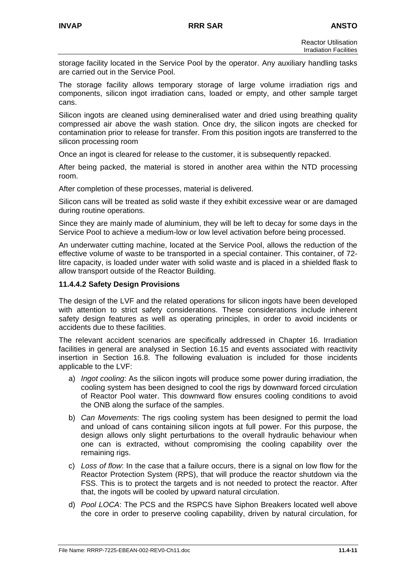storage facility located in the Service Pool by the operator. Any auxiliary handling tasks are carried out in the Service Pool.

The storage facility allows temporary storage of large volume irradiation rigs and components, silicon ingot irradiation cans, loaded or empty, and other sample target cans.

Silicon ingots are cleaned using demineralised water and dried using breathing quality compressed air above the wash station. Once dry, the silicon ingots are checked for contamination prior to release for transfer. From this position ingots are transferred to the silicon processing room

Once an ingot is cleared for release to the customer, it is subsequently repacked.

After being packed, the material is stored in another area within the NTD processing room.

After completion of these processes, material is delivered.

Silicon cans will be treated as solid waste if they exhibit excessive wear or are damaged during routine operations.

Since they are mainly made of aluminium, they will be left to decay for some days in the Service Pool to achieve a medium-low or low level activation before being processed.

An underwater cutting machine, located at the Service Pool, allows the reduction of the effective volume of waste to be transported in a special container. This container, of 72 litre capacity, is loaded under water with solid waste and is placed in a shielded flask to allow transport outside of the Reactor Building.

#### **11.4.4.2 Safety Design Provisions**

The design of the LVF and the related operations for silicon ingots have been developed with attention to strict safety considerations. These considerations include inherent safety design features as well as operating principles, in order to avoid incidents or accidents due to these facilities.

The relevant accident scenarios are specifically addressed in Chapter 16. Irradiation facilities in general are analysed in Section 16.15 and events associated with reactivity insertion in Section 16.8. The following evaluation is included for those incidents applicable to the LVF:

- a) *Ingot cooling*: As the silicon ingots will produce some power during irradiation, the cooling system has been designed to cool the rigs by downward forced circulation of Reactor Pool water. This downward flow ensures cooling conditions to avoid the ONB along the surface of the samples.
- b) *Can Movements*: The rigs cooling system has been designed to permit the load and unload of cans containing silicon ingots at full power. For this purpose, the design allows only slight perturbations to the overall hydraulic behaviour when one can is extracted, without compromising the cooling capability over the remaining rigs.
- c) *Loss of flow*: In the case that a failure occurs, there is a signal on low flow for the Reactor Protection System (RPS), that will produce the reactor shutdown via the FSS. This is to protect the targets and is not needed to protect the reactor. After that, the ingots will be cooled by upward natural circulation.
- d) *Pool LOCA*: The PCS and the RSPCS have Siphon Breakers located well above the core in order to preserve cooling capability, driven by natural circulation, for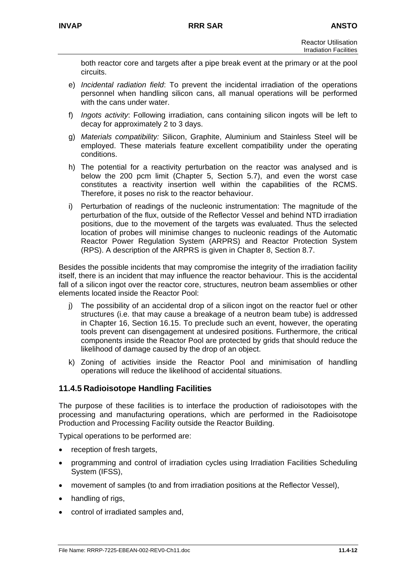both reactor core and targets after a pipe break event at the primary or at the pool circuits.

- e) *Incidental radiation field*: To prevent the incidental irradiation of the operations personnel when handling silicon cans, all manual operations will be performed with the cans under water.
- f) *Ingots activity*: Following irradiation, cans containing silicon ingots will be left to decay for approximately 2 to 3 days.
- g) *Materials compatibility:* Silicon, Graphite, Aluminium and Stainless Steel will be employed. These materials feature excellent compatibility under the operating conditions.
- h) The potential for a reactivity perturbation on the reactor was analysed and is below the 200 pcm limit (Chapter 5, Section 5.7), and even the worst case constitutes a reactivity insertion well within the capabilities of the RCMS. Therefore, it poses no risk to the reactor behaviour.
- i) Perturbation of readings of the nucleonic instrumentation: The magnitude of the perturbation of the flux, outside of the Reflector Vessel and behind NTD irradiation positions, due to the movement of the targets was evaluated. Thus the selected location of probes will minimise changes to nucleonic readings of the Automatic Reactor Power Regulation System (ARPRS) and Reactor Protection System (RPS). A description of the ARPRS is given in Chapter 8, Section 8.7.

Besides the possible incidents that may compromise the integrity of the irradiation facility itself, there is an incident that may influence the reactor behaviour. This is the accidental fall of a silicon ingot over the reactor core, structures, neutron beam assemblies or other elements located inside the Reactor Pool:

- j) The possibility of an accidental drop of a silicon ingot on the reactor fuel or other structures (i.e. that may cause a breakage of a neutron beam tube) is addressed in Chapter 16, Section 16.15. To preclude such an event, however, the operating tools prevent can disengagement at undesired positions. Furthermore, the critical components inside the Reactor Pool are protected by grids that should reduce the likelihood of damage caused by the drop of an object.
- k) Zoning of activities inside the Reactor Pool and minimisation of handling operations will reduce the likelihood of accidental situations.

## **11.4.5 Radioisotope Handling Facilities**

The purpose of these facilities is to interface the production of radioisotopes with the processing and manufacturing operations, which are performed in the Radioisotope Production and Processing Facility outside the Reactor Building.

Typical operations to be performed are:

- reception of fresh targets,
- programming and control of irradiation cycles using Irradiation Facilities Scheduling System (IFSS),
- movement of samples (to and from irradiation positions at the Reflector Vessel),
- handling of rigs,
- control of irradiated samples and,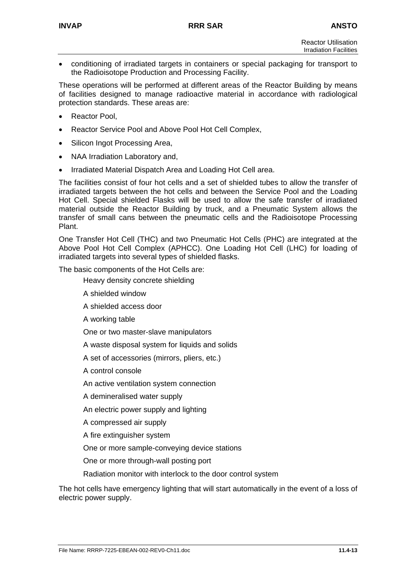• conditioning of irradiated targets in containers or special packaging for transport to the Radioisotope Production and Processing Facility.

These operations will be performed at different areas of the Reactor Building by means of facilities designed to manage radioactive material in accordance with radiological protection standards. These areas are:

- Reactor Pool.
- Reactor Service Pool and Above Pool Hot Cell Complex,
- Silicon Ingot Processing Area,
- NAA Irradiation Laboratory and,
- Irradiated Material Dispatch Area and Loading Hot Cell area.

The facilities consist of four hot cells and a set of shielded tubes to allow the transfer of irradiated targets between the hot cells and between the Service Pool and the Loading Hot Cell. Special shielded Flasks will be used to allow the safe transfer of irradiated material outside the Reactor Building by truck, and a Pneumatic System allows the transfer of small cans between the pneumatic cells and the Radioisotope Processing Plant.

One Transfer Hot Cell (THC) and two Pneumatic Hot Cells (PHC) are integrated at the Above Pool Hot Cell Complex (APHCC). One Loading Hot Cell (LHC) for loading of irradiated targets into several types of shielded flasks.

The basic components of the Hot Cells are:

Heavy density concrete shielding

- A shielded window
- A shielded access door

A working table

One or two master-slave manipulators

A waste disposal system for liquids and solids

A set of accessories (mirrors, pliers, etc.)

A control console

An active ventilation system connection

A demineralised water supply

An electric power supply and lighting

A compressed air supply

A fire extinguisher system

One or more sample-conveying device stations

One or more through-wall posting port

Radiation monitor with interlock to the door control system

The hot cells have emergency lighting that will start automatically in the event of a loss of electric power supply.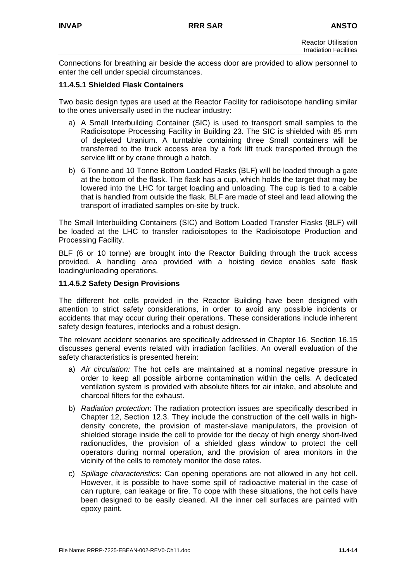Connections for breathing air beside the access door are provided to allow personnel to enter the cell under special circumstances.

### **11.4.5.1 Shielded Flask Containers**

Two basic design types are used at the Reactor Facility for radioisotope handling similar to the ones universally used in the nuclear industry:

- a) A Small Interbuilding Container (SIC) is used to transport small samples to the Radioisotope Processing Facility in Building 23. The SIC is shielded with 85 mm of depleted Uranium. A turntable containing three Small containers will be transferred to the truck access area by a fork lift truck transported through the service lift or by crane through a hatch.
- b) 6 Tonne and 10 Tonne Bottom Loaded Flasks (BLF) will be loaded through a gate at the bottom of the flask. The flask has a cup, which holds the target that may be lowered into the LHC for target loading and unloading. The cup is tied to a cable that is handled from outside the flask. BLF are made of steel and lead allowing the transport of irradiated samples on-site by truck.

The Small Interbuilding Containers (SIC) and Bottom Loaded Transfer Flasks (BLF) will be loaded at the LHC to transfer radioisotopes to the Radioisotope Production and Processing Facility.

BLF (6 or 10 tonne) are brought into the Reactor Building through the truck access provided. A handling area provided with a hoisting device enables safe flask loading/unloading operations.

#### **11.4.5.2 Safety Design Provisions**

The different hot cells provided in the Reactor Building have been designed with attention to strict safety considerations, in order to avoid any possible incidents or accidents that may occur during their operations. These considerations include inherent safety design features, interlocks and a robust design.

The relevant accident scenarios are specifically addressed in Chapter 16. Section 16.15 discusses general events related with irradiation facilities. An overall evaluation of the safety characteristics is presented herein:

- a) *Air circulation:* The hot cells are maintained at a nominal negative pressure in order to keep all possible airborne contamination within the cells. A dedicated ventilation system is provided with absolute filters for air intake, and absolute and charcoal filters for the exhaust.
- b) *Radiation protection*: The radiation protection issues are specifically described in Chapter 12, Section 12.3. They include the construction of the cell walls in highdensity concrete, the provision of master-slave manipulators, the provision of shielded storage inside the cell to provide for the decay of high energy short-lived radionuclides, the provision of a shielded glass window to protect the cell operators during normal operation, and the provision of area monitors in the vicinity of the cells to remotely monitor the dose rates.
- c) *Spillage characteristics*: Can opening operations are not allowed in any hot cell. However, it is possible to have some spill of radioactive material in the case of can rupture, can leakage or fire. To cope with these situations, the hot cells have been designed to be easily cleaned. All the inner cell surfaces are painted with epoxy paint.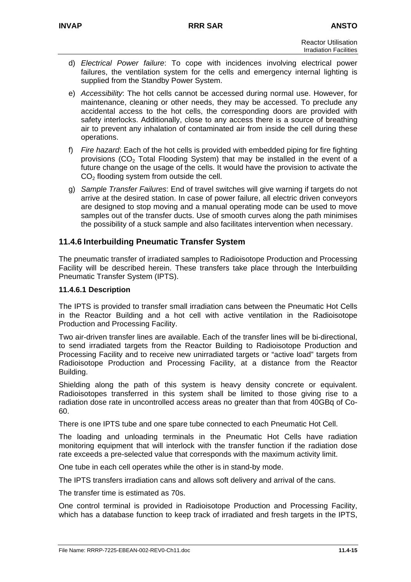- d) *Electrical Power failure*: To cope with incidences involving electrical power failures, the ventilation system for the cells and emergency internal lighting is supplied from the Standby Power System.
- e) *Accessibility*: The hot cells cannot be accessed during normal use. However, for maintenance, cleaning or other needs, they may be accessed. To preclude any accidental access to the hot cells, the corresponding doors are provided with safety interlocks. Additionally, close to any access there is a source of breathing air to prevent any inhalation of contaminated air from inside the cell during these operations.
- f) *Fire hazard*: Each of the hot cells is provided with embedded piping for fire fighting provisions  $(CO<sub>2</sub>$  Total Flooding System) that may be installed in the event of a future change on the usage of the cells. It would have the provision to activate the  $CO<sub>2</sub>$  flooding system from outside the cell.
- g) *Sample Transfer Failures*: End of travel switches will give warning if targets do not arrive at the desired station. In case of power failure, all electric driven conveyors are designed to stop moving and a manual operating mode can be used to move samples out of the transfer ducts. Use of smooth curves along the path minimises the possibility of a stuck sample and also facilitates intervention when necessary.

## **11.4.6 Interbuilding Pneumatic Transfer System**

The pneumatic transfer of irradiated samples to Radioisotope Production and Processing Facility will be described herein. These transfers take place through the Interbuilding Pneumatic Transfer System (IPTS).

#### **11.4.6.1 Description**

The IPTS is provided to transfer small irradiation cans between the Pneumatic Hot Cells in the Reactor Building and a hot cell with active ventilation in the Radioisotope Production and Processing Facility.

Two air-driven transfer lines are available. Each of the transfer lines will be bi-directional, to send irradiated targets from the Reactor Building to Radioisotope Production and Processing Facility and to receive new unirradiated targets or "active load" targets from Radioisotope Production and Processing Facility, at a distance from the Reactor Building.

Shielding along the path of this system is heavy density concrete or equivalent. Radioisotopes transferred in this system shall be limited to those giving rise to a radiation dose rate in uncontrolled access areas no greater than that from 40GBq of Co-60.

There is one IPTS tube and one spare tube connected to each Pneumatic Hot Cell.

The loading and unloading terminals in the Pneumatic Hot Cells have radiation monitoring equipment that will interlock with the transfer function if the radiation dose rate exceeds a pre-selected value that corresponds with the maximum activity limit.

One tube in each cell operates while the other is in stand-by mode.

The IPTS transfers irradiation cans and allows soft delivery and arrival of the cans.

The transfer time is estimated as 70s.

One control terminal is provided in Radioisotope Production and Processing Facility, which has a database function to keep track of irradiated and fresh targets in the IPTS,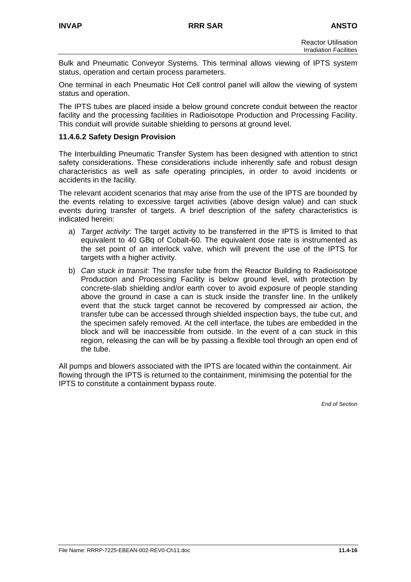Bulk and Pneumatic Conveyor Systems. This terminal allows viewing of IPTS system status, operation and certain process parameters.

One terminal in each Pneumatic Hot Cell control panel will allow the viewing of system status and operation.

The IPTS tubes are placed inside a below ground concrete conduit between the reactor facility and the processing facilities in Radioisotope Production and Processing Facility. This conduit will provide suitable shielding to persons at ground level.

### **11.4.6.2 Safety Design Provision**

The Interbuilding Pneumatic Transfer System has been designed with attention to strict safety considerations. These considerations include inherently safe and robust design characteristics as well as safe operating principles, in order to avoid incidents or accidents in the facility.

The relevant accident scenarios that may arise from the use of the IPTS are bounded by the events relating to excessive target activities (above design value) and can stuck events during transfer of targets. A brief description of the safety characteristics is indicated herein:

- a) *Target activity*: The target activity to be transferred in the IPTS is limited to that equivalent to 40 GBq of Cobalt-60. The equivalent dose rate is instrumented as the set point of an interlock valve, which will prevent the use of the IPTS for targets with a higher activity.
- b) *Can stuck in transit*: The transfer tube from the Reactor Building to Radioisotope Production and Processing Facility is below ground level, with protection by concrete-slab shielding and/or earth cover to avoid exposure of people standing above the ground in case a can is stuck inside the transfer line. In the unlikely event that the stuck target cannot be recovered by compressed air action, the transfer tube can be accessed through shielded inspection bays, the tube cut, and the specimen safely removed. At the cell interface, the tubes are embedded in the block and will be inaccessible from outside. In the event of a can stuck in this region, releasing the can will be by passing a flexible tool through an open end of the tube.

All pumps and blowers associated with the IPTS are located within the containment. Air flowing through the IPTS is returned to the containment, minimising the potential for the IPTS to constitute a containment bypass route.

*End of Section*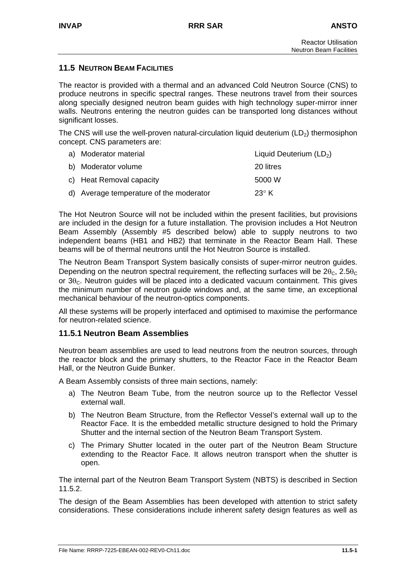## **11.5 NEUTRON BEAM FACILITIES**

The reactor is provided with a thermal and an advanced Cold Neutron Source (CNS) to produce neutrons in specific spectral ranges. These neutrons travel from their sources along specially designed neutron beam guides with high technology super-mirror inner walls. Neutrons entering the neutron guides can be transported long distances without significant losses.

The CNS will use the well-proven natural-circulation liquid deuterium  $(LD<sub>2</sub>)$  thermosiphon concept. CNS parameters are:

| a) Moderator material                   | Liquid Deuterium $(LD_2)$ |
|-----------------------------------------|---------------------------|
| b) Moderator volume                     | 20 litres                 |
| c) Heat Removal capacity                | 5000 W                    |
| d) Average temperature of the moderator | 23 $\circ$ K              |

The Hot Neutron Source will not be included within the present facilities, but provisions are included in the design for a future installation. The provision includes a Hot Neutron Beam Assembly (Assembly #5 described below) able to supply neutrons to two independent beams (HB1 and HB2) that terminate in the Reactor Beam Hall. These beams will be of thermal neutrons until the Hot Neutron Source is installed.

The Neutron Beam Transport System basically consists of super-mirror neutron guides. Depending on the neutron spectral requirement, the reflecting surfaces will be  $2\theta_c$ ,  $2.5\theta_c$ or  $3\theta_c$ . Neutron guides will be placed into a dedicated vacuum containment. This gives the minimum number of neutron guide windows and, at the same time, an exceptional mechanical behaviour of the neutron-optics components.

All these systems will be properly interfaced and optimised to maximise the performance for neutron-related science.

## **11.5.1 Neutron Beam Assemblies**

Neutron beam assemblies are used to lead neutrons from the neutron sources, through the reactor block and the primary shutters, to the Reactor Face in the Reactor Beam Hall, or the Neutron Guide Bunker.

A Beam Assembly consists of three main sections, namely:

- a) The Neutron Beam Tube, from the neutron source up to the Reflector Vessel external wall.
- b) The Neutron Beam Structure, from the Reflector Vessel's external wall up to the Reactor Face. It is the embedded metallic structure designed to hold the Primary Shutter and the internal section of the Neutron Beam Transport System.
- c) The Primary Shutter located in the outer part of the Neutron Beam Structure extending to the Reactor Face. It allows neutron transport when the shutter is open.

The internal part of the Neutron Beam Transport System (NBTS) is described in Section 11.5.2.

The design of the Beam Assemblies has been developed with attention to strict safety considerations. These considerations include inherent safety design features as well as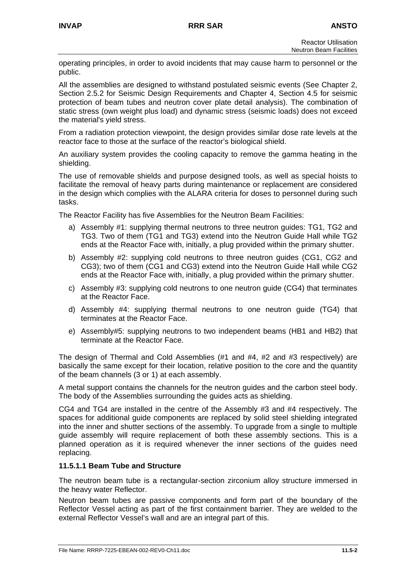operating principles, in order to avoid incidents that may cause harm to personnel or the public.

All the assemblies are designed to withstand postulated seismic events (See Chapter 2, Section 2.5.2 for Seismic Design Requirements and Chapter 4, Section 4.5 for seismic protection of beam tubes and neutron cover plate detail analysis). The combination of static stress (own weight plus load) and dynamic stress (seismic loads) does not exceed the material's yield stress.

From a radiation protection viewpoint, the design provides similar dose rate levels at the reactor face to those at the surface of the reactor's biological shield.

An auxiliary system provides the cooling capacity to remove the gamma heating in the shielding.

The use of removable shields and purpose designed tools, as well as special hoists to facilitate the removal of heavy parts during maintenance or replacement are considered in the design which complies with the ALARA criteria for doses to personnel during such tasks.

The Reactor Facility has five Assemblies for the Neutron Beam Facilities:

- a) Assembly #1: supplying thermal neutrons to three neutron guides: TG1, TG2 and TG3. Two of them (TG1 and TG3) extend into the Neutron Guide Hall while TG2 ends at the Reactor Face with, initially, a plug provided within the primary shutter.
- b) Assembly #2: supplying cold neutrons to three neutron guides (CG1, CG2 and CG3); two of them (CG1 and CG3) extend into the Neutron Guide Hall while CG2 ends at the Reactor Face with, initially, a plug provided within the primary shutter.
- c) Assembly #3: supplying cold neutrons to one neutron guide (CG4) that terminates at the Reactor Face.
- d) Assembly #4: supplying thermal neutrons to one neutron guide (TG4) that terminates at the Reactor Face.
- e) Assembly#5: supplying neutrons to two independent beams (HB1 and HB2) that terminate at the Reactor Face.

The design of Thermal and Cold Assemblies (#1 and #4, #2 and #3 respectively) are basically the same except for their location, relative position to the core and the quantity of the beam channels (3 or 1) at each assembly.

A metal support contains the channels for the neutron guides and the carbon steel body. The body of the Assemblies surrounding the guides acts as shielding.

CG4 and TG4 are installed in the centre of the Assembly #3 and #4 respectively. The spaces for additional guide components are replaced by solid steel shielding integrated into the inner and shutter sections of the assembly. To upgrade from a single to multiple guide assembly will require replacement of both these assembly sections. This is a planned operation as it is required whenever the inner sections of the guides need replacing.

#### **11.5.1.1 Beam Tube and Structure**

The neutron beam tube is a rectangular-section zirconium alloy structure immersed in the heavy water Reflector.

Neutron beam tubes are passive components and form part of the boundary of the Reflector Vessel acting as part of the first containment barrier. They are welded to the external Reflector Vessel's wall and are an integral part of this.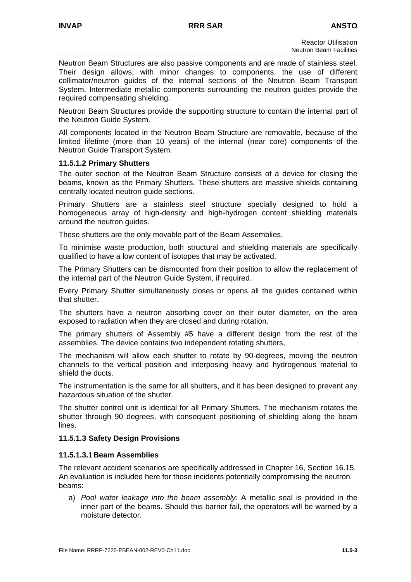Neutron Beam Structures are also passive components and are made of stainless steel. Their design allows, with minor changes to components, the use of different collimator/neutron guides of the internal sections of the Neutron Beam Transport System. Intermediate metallic components surrounding the neutron guides provide the required compensating shielding.

Neutron Beam Structures provide the supporting structure to contain the internal part of the Neutron Guide System.

All components located in the Neutron Beam Structure are removable, because of the limited lifetime (more than 10 years) of the internal (near core) components of the Neutron Guide Transport System.

## **11.5.1.2 Primary Shutters**

The outer section of the Neutron Beam Structure consists of a device for closing the beams, known as the Primary Shutters. These shutters are massive shields containing centrally located neutron guide sections.

Primary Shutters are a stainless steel structure specially designed to hold a homogeneous array of high-density and high-hydrogen content shielding materials around the neutron guides.

These shutters are the only movable part of the Beam Assemblies.

To minimise waste production, both structural and shielding materials are specifically qualified to have a low content of isotopes that may be activated.

The Primary Shutters can be dismounted from their position to allow the replacement of the internal part of the Neutron Guide System, if required.

Every Primary Shutter simultaneously closes or opens all the guides contained within that shutter.

The shutters have a neutron absorbing cover on their outer diameter, on the area exposed to radiation when they are closed and during rotation.

The primary shutters of Assembly #5 have a different design from the rest of the assemblies. The device contains two independent rotating shutters,

The mechanism will allow each shutter to rotate by 90-degrees, moving the neutron channels to the vertical position and interposing heavy and hydrogenous material to shield the ducts.

The instrumentation is the same for all shutters, and it has been designed to prevent any hazardous situation of the shutter.

The shutter control unit is identical for all Primary Shutters. The mechanism rotates the shutter through 90 degrees, with consequent positioning of shielding along the beam lines.

## **11.5.1.3 Safety Design Provisions**

## **11.5.1.3.1 Beam Assemblies**

The relevant accident scenarios are specifically addressed in Chapter 16, Section 16.15. An evaluation is included here for those incidents potentially compromising the neutron beams:

a) *Pool water leakage into the beam assembly:* A metallic seal is provided in the inner part of the beams. Should this barrier fail, the operators will be warned by a moisture detector.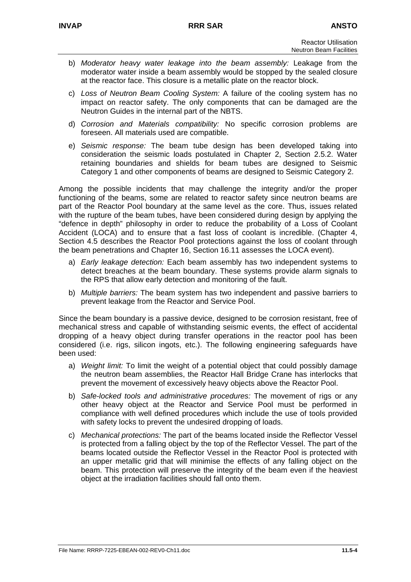- b) *Moderator heavy water leakage into the beam assembly:* Leakage from the moderator water inside a beam assembly would be stopped by the sealed closure at the reactor face. This closure is a metallic plate on the reactor block.
- c) *Loss of Neutron Beam Cooling System:* A failure of the cooling system has no impact on reactor safety. The only components that can be damaged are the Neutron Guides in the internal part of the NBTS.
- d) *Corrosion and Materials compatibility:* No specific corrosion problems are foreseen. All materials used are compatible.
- e) *Seismic response:* The beam tube design has been developed taking into consideration the seismic loads postulated in Chapter 2, Section 2.5.2. Water retaining boundaries and shields for beam tubes are designed to Seismic Category 1 and other components of beams are designed to Seismic Category 2.

Among the possible incidents that may challenge the integrity and/or the proper functioning of the beams, some are related to reactor safety since neutron beams are part of the Reactor Pool boundary at the same level as the core. Thus, issues related with the rupture of the beam tubes, have been considered during design by applying the "defence in depth" philosophy in order to reduce the probability of a Loss of Coolant Accident (LOCA) and to ensure that a fast loss of coolant is incredible. (Chapter 4, Section 4.5 describes the Reactor Pool protections against the loss of coolant through the beam penetrations and Chapter 16, Section 16.11 assesses the LOCA event).

- a) *Early leakage detection:* Each beam assembly has two independent systems to detect breaches at the beam boundary. These systems provide alarm signals to the RPS that allow early detection and monitoring of the fault.
- b) *Multiple barriers:* The beam system has two independent and passive barriers to prevent leakage from the Reactor and Service Pool.

Since the beam boundary is a passive device, designed to be corrosion resistant, free of mechanical stress and capable of withstanding seismic events, the effect of accidental dropping of a heavy object during transfer operations in the reactor pool has been considered (i.e. rigs, silicon ingots, etc.). The following engineering safeguards have been used:

- a) *Weight limit:* To limit the weight of a potential object that could possibly damage the neutron beam assemblies, the Reactor Hall Bridge Crane has interlocks that prevent the movement of excessively heavy objects above the Reactor Pool.
- b) *Safe-locked tools and administrative procedures:* The movement of rigs or any other heavy object at the Reactor and Service Pool must be performed in compliance with well defined procedures which include the use of tools provided with safety locks to prevent the undesired dropping of loads.
- c) *Mechanical protections:* The part of the beams located inside the Reflector Vessel is protected from a falling object by the top of the Reflector Vessel. The part of the beams located outside the Reflector Vessel in the Reactor Pool is protected with an upper metallic grid that will minimise the effects of any falling object on the beam. This protection will preserve the integrity of the beam even if the heaviest object at the irradiation facilities should fall onto them.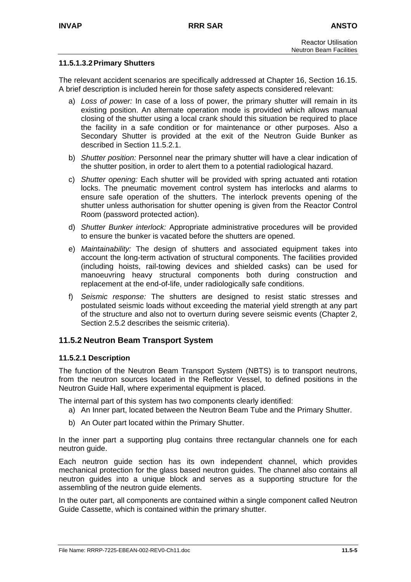## **11.5.1.3.2 Primary Shutters**

The relevant accident scenarios are specifically addressed at Chapter 16, Section 16.15. A brief description is included herein for those safety aspects considered relevant:

- a) *Loss of power:* In case of a loss of power, the primary shutter will remain in its existing position. An alternate operation mode is provided which allows manual closing of the shutter using a local crank should this situation be required to place the facility in a safe condition or for maintenance or other purposes. Also a Secondary Shutter is provided at the exit of the Neutron Guide Bunker as described in Section 11.5.2.1.
- b) *Shutter position:* Personnel near the primary shutter will have a clear indication of the shutter position, in order to alert them to a potential radiological hazard.
- c) *Shutter opening:* Each shutter will be provided with spring actuated anti rotation locks. The pneumatic movement control system has interlocks and alarms to ensure safe operation of the shutters. The interlock prevents opening of the shutter unless authorisation for shutter opening is given from the Reactor Control Room (password protected action).
- d) *Shutter Bunker interlock:* Appropriate administrative procedures will be provided to ensure the bunker is vacated before the shutters are opened.
- e) *Maintainability:* The design of shutters and associated equipment takes into account the long-term activation of structural components. The facilities provided (including hoists, rail-towing devices and shielded casks) can be used for manoeuvring heavy structural components both during construction and replacement at the end-of-life, under radiologically safe conditions.
- f) *Seismic response:* The shutters are designed to resist static stresses and postulated seismic loads without exceeding the material yield strength at any part of the structure and also not to overturn during severe seismic events (Chapter 2, Section 2.5.2 describes the seismic criteria).

#### **11.5.2 Neutron Beam Transport System**

#### **11.5.2.1 Description**

The function of the Neutron Beam Transport System (NBTS) is to transport neutrons, from the neutron sources located in the Reflector Vessel, to defined positions in the Neutron Guide Hall, where experimental equipment is placed.

The internal part of this system has two components clearly identified:

- a) An Inner part, located between the Neutron Beam Tube and the Primary Shutter.
- b) An Outer part located within the Primary Shutter.

In the inner part a supporting plug contains three rectangular channels one for each neutron guide.

Each neutron guide section has its own independent channel, which provides mechanical protection for the glass based neutron guides. The channel also contains all neutron guides into a unique block and serves as a supporting structure for the assembling of the neutron guide elements.

In the outer part, all components are contained within a single component called Neutron Guide Cassette, which is contained within the primary shutter.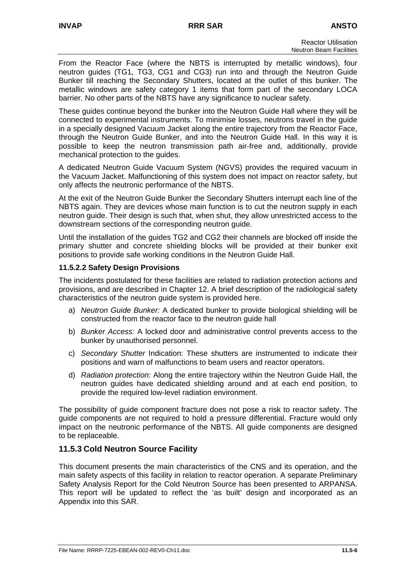From the Reactor Face (where the NBTS is interrupted by metallic windows), four neutron guides (TG1, TG3, CG1 and CG3) run into and through the Neutron Guide Bunker till reaching the Secondary Shutters, located at the outlet of this bunker. The metallic windows are safety category 1 items that form part of the secondary LOCA barrier. No other parts of the NBTS have any significance to nuclear safety.

These guides continue beyond the bunker into the Neutron Guide Hall where they will be connected to experimental instruments. To minimise losses, neutrons travel in the guide in a specially designed Vacuum Jacket along the entire trajectory from the Reactor Face, through the Neutron Guide Bunker, and into the Neutron Guide Hall. In this way it is possible to keep the neutron transmission path air-free and, additionally, provide mechanical protection to the guides.

A dedicated Neutron Guide Vacuum System (NGVS) provides the required vacuum in the Vacuum Jacket. Malfunctioning of this system does not impact on reactor safety, but only affects the neutronic performance of the NBTS.

At the exit of the Neutron Guide Bunker the Secondary Shutters interrupt each line of the NBTS again. They are devices whose main function is to cut the neutron supply in each neutron guide. Their design is such that, when shut, they allow unrestricted access to the downstream sections of the corresponding neutron guide.

Until the installation of the guides TG2 and CG2 their channels are blocked off inside the primary shutter and concrete shielding blocks will be provided at their bunker exit positions to provide safe working conditions in the Neutron Guide Hall.

## **11.5.2.2 Safety Design Provisions**

The incidents postulated for these facilities are related to radiation protection actions and provisions, and are described in Chapter 12. A brief description of the radiological safety characteristics of the neutron guide system is provided here.

- a) *Neutron Guide Bunker:* A dedicated bunker to provide biological shielding will be constructed from the reactor face to the neutron guide hall
- b) *Bunker Access:* A locked door and administrative control prevents access to the bunker by unauthorised personnel.
- c) *Secondary Shutter* Indication: These shutters are instrumented to indicate their positions and warn of malfunctions to beam users and reactor operators.
- d) *Radiation protection:* Along the entire trajectory within the Neutron Guide Hall, the neutron guides have dedicated shielding around and at each end position, to provide the required low-level radiation environment.

The possibility of guide component fracture does not pose a risk to reactor safety. The guide components are not required to hold a pressure differential. Fracture would only impact on the neutronic performance of the NBTS. All guide components are designed to be replaceable.

## **11.5.3 Cold Neutron Source Facility**

This document presents the main characteristics of the CNS and its operation, and the main safety aspects of this facility in relation to reactor operation. A separate Preliminary Safety Analysis Report for the Cold Neutron Source has been presented to ARPANSA. This report will be updated to reflect the 'as built' design and incorporated as an Appendix into this SAR.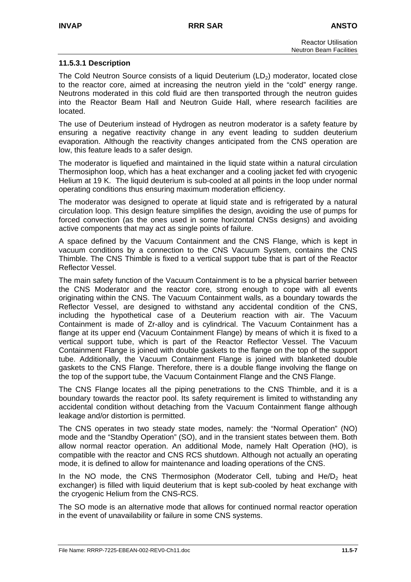## **11.5.3.1 Description**

The Cold Neutron Source consists of a liquid Deuterium (LD<sub>2</sub>) moderator, located close to the reactor core, aimed at increasing the neutron yield in the "cold" energy range. Neutrons moderated in this cold fluid are then transported through the neutron guides into the Reactor Beam Hall and Neutron Guide Hall, where research facilities are located.

The use of Deuterium instead of Hydrogen as neutron moderator is a safety feature by ensuring a negative reactivity change in any event leading to sudden deuterium evaporation. Although the reactivity changes anticipated from the CNS operation are low, this feature leads to a safer design.

The moderator is liquefied and maintained in the liquid state within a natural circulation Thermosiphon loop, which has a heat exchanger and a cooling jacket fed with cryogenic Helium at 19 K. The liquid deuterium is sub-cooled at all points in the loop under normal operating conditions thus ensuring maximum moderation efficiency.

The moderator was designed to operate at liquid state and is refrigerated by a natural circulation loop. This design feature simplifies the design, avoiding the use of pumps for forced convection (as the ones used in some horizontal CNSs designs) and avoiding active components that may act as single points of failure.

A space defined by the Vacuum Containment and the CNS Flange, which is kept in vacuum conditions by a connection to the CNS Vacuum System, contains the CNS Thimble. The CNS Thimble is fixed to a vertical support tube that is part of the Reactor Reflector Vessel.

The main safety function of the Vacuum Containment is to be a physical barrier between the CNS Moderator and the reactor core, strong enough to cope with all events originating within the CNS. The Vacuum Containment walls, as a boundary towards the Reflector Vessel, are designed to withstand any accidental condition of the CNS, including the hypothetical case of a Deuterium reaction with air. The Vacuum Containment is made of Zr-alloy and is cylindrical. The Vacuum Containment has a flange at its upper end (Vacuum Containment Flange) by means of which it is fixed to a vertical support tube, which is part of the Reactor Reflector Vessel. The Vacuum Containment Flange is joined with double gaskets to the flange on the top of the support tube. Additionally, the Vacuum Containment Flange is joined with blanketed double gaskets to the CNS Flange. Therefore, there is a double flange involving the flange on the top of the support tube, the Vacuum Containment Flange and the CNS Flange.

The CNS Flange locates all the piping penetrations to the CNS Thimble, and it is a boundary towards the reactor pool. Its safety requirement is limited to withstanding any accidental condition without detaching from the Vacuum Containment flange although leakage and/or distortion is permitted.

The CNS operates in two steady state modes, namely: the "Normal Operation" (NO) mode and the "Standby Operation" (SO), and in the transient states between them. Both allow normal reactor operation. An additional Mode, namely Halt Operation (HO), is compatible with the reactor and CNS RCS shutdown. Although not actually an operating mode, it is defined to allow for maintenance and loading operations of the CNS.

In the NO mode, the CNS Thermosiphon (Moderator Cell, tubing and  $He/D<sub>2</sub>$  heat exchanger) is filled with liquid deuterium that is kept sub-cooled by heat exchange with the cryogenic Helium from the CNS-RCS.

The SO mode is an alternative mode that allows for continued normal reactor operation in the event of unavailability or failure in some CNS systems.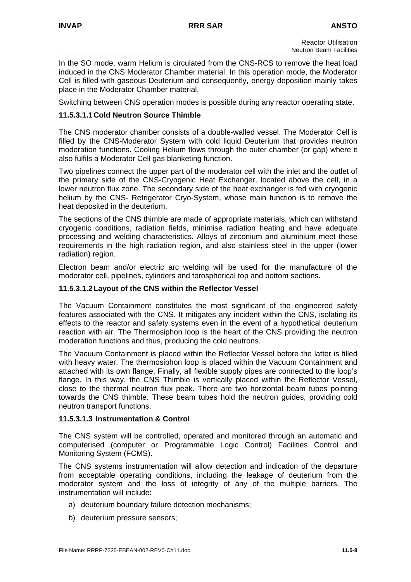In the SO mode, warm Helium is circulated from the CNS-RCS to remove the heat load induced in the CNS Moderator Chamber material. In this operation mode, the Moderator Cell is filled with gaseous Deuterium and consequently, energy deposition mainly takes place in the Moderator Chamber material.

Switching between CNS operation modes is possible during any reactor operating state.

## **11.5.3.1.1 Cold Neutron Source Thimble**

The CNS moderator chamber consists of a double-walled vessel. The Moderator Cell is filled by the CNS-Moderator System with cold liquid Deuterium that provides neutron moderation functions. Cooling Helium flows through the outer chamber (or gap) where it also fulfils a Moderator Cell gas blanketing function.

Two pipelines connect the upper part of the moderator cell with the inlet and the outlet of the primary side of the CNS-Cryogenic Heat Exchanger, located above the cell, in a lower neutron flux zone. The secondary side of the heat exchanger is fed with cryogenic helium by the CNS- Refrigerator Cryo-System, whose main function is to remove the heat deposited in the deuterium.

The sections of the CNS thimble are made of appropriate materials, which can withstand cryogenic conditions, radiation fields, minimise radiation heating and have adequate processing and welding characteristics. Alloys of zirconium and aluminium meet these requirements in the high radiation region, and also stainless steel in the upper (lower radiation) region.

Electron beam and/or electric arc welding will be used for the manufacture of the moderator cell, pipelines, cylinders and torospherical top and bottom sections.

#### **11.5.3.1.2 Layout of the CNS within the Reflector Vessel**

The Vacuum Containment constitutes the most significant of the engineered safety features associated with the CNS. It mitigates any incident within the CNS, isolating its effects to the reactor and safety systems even in the event of a hypothetical deuterium reaction with air. The Thermosiphon loop is the heart of the CNS providing the neutron moderation functions and thus, producing the cold neutrons.

The Vacuum Containment is placed within the Reflector Vessel before the latter is filled with heavy water. The thermosiphon loop is placed within the Vacuum Containment and attached with its own flange. Finally, all flexible supply pipes are connected to the loop's flange. In this way, the CNS Thimble is vertically placed within the Reflector Vessel, close to the thermal neutron flux peak. There are two horizontal beam tubes pointing towards the CNS thimble. These beam tubes hold the neutron guides, providing cold neutron transport functions.

#### **11.5.3.1.3 Instrumentation & Control**

The CNS system will be controlled, operated and monitored through an automatic and computerised (computer or Programmable Logic Control) Facilities Control and Monitoring System (FCMS).

The CNS systems instrumentation will allow detection and indication of the departure from acceptable operating conditions, including the leakage of deuterium from the moderator system and the loss of integrity of any of the multiple barriers. The instrumentation will include:

- a) deuterium boundary failure detection mechanisms;
- b) deuterium pressure sensors;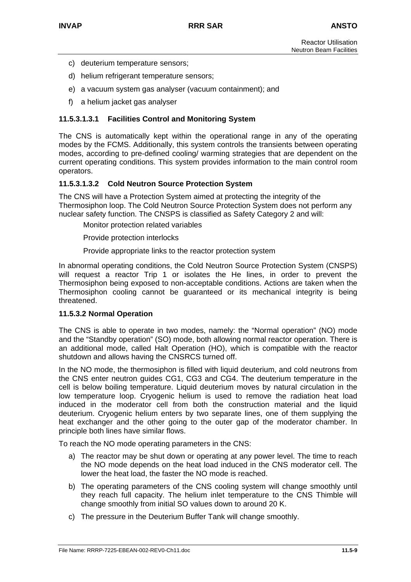- c) deuterium temperature sensors;
- d) helium refrigerant temperature sensors;
- e) a vacuum system gas analyser (vacuum containment); and
- f) a helium jacket gas analyser

#### **11.5.3.1.3.1 Facilities Control and Monitoring System**

The CNS is automatically kept within the operational range in any of the operating modes by the FCMS. Additionally, this system controls the transients between operating modes, according to pre-defined cooling/ warming strategies that are dependent on the current operating conditions. This system provides information to the main control room operators.

#### **11.5.3.1.3.2 Cold Neutron Source Protection System**

The CNS will have a Protection System aimed at protecting the integrity of the Thermosiphon loop. The Cold Neutron Source Protection System does not perform any nuclear safety function. The CNSPS is classified as Safety Category 2 and will:

Monitor protection related variables

Provide protection interlocks

Provide appropriate links to the reactor protection system

In abnormal operating conditions, the Cold Neutron Source Protection System (CNSPS) will request a reactor Trip 1 or isolates the He lines, in order to prevent the Thermosiphon being exposed to non-acceptable conditions. Actions are taken when the Thermosiphon cooling cannot be guaranteed or its mechanical integrity is being threatened.

#### **11.5.3.2 Normal Operation**

The CNS is able to operate in two modes, namely: the "Normal operation" (NO) mode and the "Standby operation" (SO) mode, both allowing normal reactor operation. There is an additional mode, called Halt Operation (HO), which is compatible with the reactor shutdown and allows having the CNSRCS turned off.

In the NO mode, the thermosiphon is filled with liquid deuterium, and cold neutrons from the CNS enter neutron guides CG1, CG3 and CG4. The deuterium temperature in the cell is below boiling temperature. Liquid deuterium moves by natural circulation in the low temperature loop. Cryogenic helium is used to remove the radiation heat load induced in the moderator cell from both the construction material and the liquid deuterium. Cryogenic helium enters by two separate lines, one of them supplying the heat exchanger and the other going to the outer gap of the moderator chamber. In principle both lines have similar flows.

To reach the NO mode operating parameters in the CNS:

- a) The reactor may be shut down or operating at any power level. The time to reach the NO mode depends on the heat load induced in the CNS moderator cell. The lower the heat load, the faster the NO mode is reached.
- b) The operating parameters of the CNS cooling system will change smoothly until they reach full capacity. The helium inlet temperature to the CNS Thimble will change smoothly from initial SO values down to around 20 K.
- c) The pressure in the Deuterium Buffer Tank will change smoothly.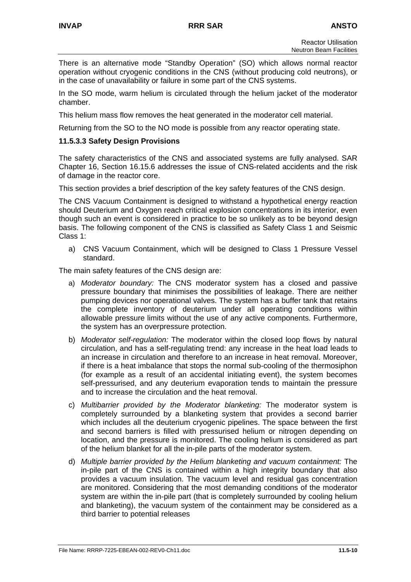There is an alternative mode "Standby Operation" (SO) which allows normal reactor operation without cryogenic conditions in the CNS (without producing cold neutrons), or in the case of unavailability or failure in some part of the CNS systems.

In the SO mode, warm helium is circulated through the helium jacket of the moderator chamber.

This helium mass flow removes the heat generated in the moderator cell material.

Returning from the SO to the NO mode is possible from any reactor operating state.

### **11.5.3.3 Safety Design Provisions**

The safety characteristics of the CNS and associated systems are fully analysed. SAR Chapter 16, Section 16.15.6 addresses the issue of CNS-related accidents and the risk of damage in the reactor core.

This section provides a brief description of the key safety features of the CNS design.

The CNS Vacuum Containment is designed to withstand a hypothetical energy reaction should Deuterium and Oxygen reach critical explosion concentrations in its interior, even though such an event is considered in practice to be so unlikely as to be beyond design basis. The following component of the CNS is classified as Safety Class 1 and Seismic Class 1:

a) CNS Vacuum Containment, which will be designed to Class 1 Pressure Vessel standard.

The main safety features of the CNS design are:

- a) *Moderator boundary:* The CNS moderator system has a closed and passive pressure boundary that minimises the possibilities of leakage. There are neither pumping devices nor operational valves. The system has a buffer tank that retains the complete inventory of deuterium under all operating conditions within allowable pressure limits without the use of any active components. Furthermore, the system has an overpressure protection.
- b) *Moderator self-regulation:* The moderator within the closed loop flows by natural circulation, and has a self-regulating trend: any increase in the heat load leads to an increase in circulation and therefore to an increase in heat removal. Moreover, if there is a heat imbalance that stops the normal sub-cooling of the thermosiphon (for example as a result of an accidental initiating event), the system becomes self-pressurised, and any deuterium evaporation tends to maintain the pressure and to increase the circulation and the heat removal.
- c) *Multibarrier provided by the Moderator blanketing:* The moderator system is completely surrounded by a blanketing system that provides a second barrier which includes all the deuterium cryogenic pipelines. The space between the first and second barriers is filled with pressurised helium or nitrogen depending on location, and the pressure is monitored. The cooling helium is considered as part of the helium blanket for all the in-pile parts of the moderator system.
- d) *Multiple barrier provided by the Helium blanketing and vacuum containment:* The in-pile part of the CNS is contained within a high integrity boundary that also provides a vacuum insulation. The vacuum level and residual gas concentration are monitored. Considering that the most demanding conditions of the moderator system are within the in-pile part (that is completely surrounded by cooling helium and blanketing), the vacuum system of the containment may be considered as a third barrier to potential releases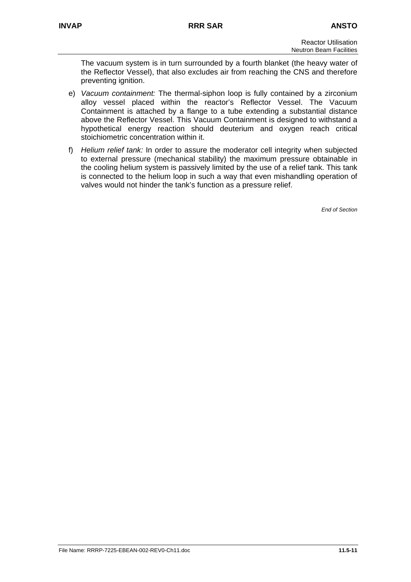The vacuum system is in turn surrounded by a fourth blanket (the heavy water of the Reflector Vessel), that also excludes air from reaching the CNS and therefore preventing ignition.

- e) *Vacuum containment:* The thermal-siphon loop is fully contained by a zirconium alloy vessel placed within the reactor's Reflector Vessel. The Vacuum Containment is attached by a flange to a tube extending a substantial distance above the Reflector Vessel. This Vacuum Containment is designed to withstand a hypothetical energy reaction should deuterium and oxygen reach critical stoichiometric concentration within it.
- f) *Helium relief tank:* In order to assure the moderator cell integrity when subjected to external pressure (mechanical stability) the maximum pressure obtainable in the cooling helium system is passively limited by the use of a relief tank. This tank is connected to the helium loop in such a way that even mishandling operation of valves would not hinder the tank's function as a pressure relief.

*End of Section*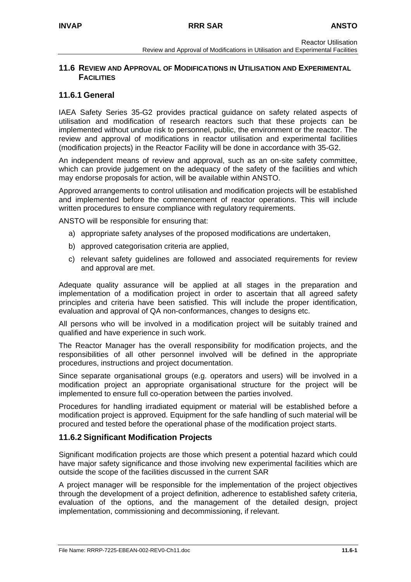## **11.6 REVIEW AND APPROVAL OF MODIFICATIONS IN UTILISATION AND EXPERIMENTAL FACILITIES**

## **11.6.1 General**

IAEA Safety Series 35-G2 provides practical guidance on safety related aspects of utilisation and modification of research reactors such that these projects can be implemented without undue risk to personnel, public, the environment or the reactor. The review and approval of modifications in reactor utilisation and experimental facilities (modification projects) in the Reactor Facility will be done in accordance with 35-G2.

An independent means of review and approval, such as an on-site safety committee, which can provide judgement on the adequacy of the safety of the facilities and which may endorse proposals for action, will be available within ANSTO.

Approved arrangements to control utilisation and modification projects will be established and implemented before the commencement of reactor operations. This will include written procedures to ensure compliance with regulatory requirements.

ANSTO will be responsible for ensuring that:

- a) appropriate safety analyses of the proposed modifications are undertaken,
- b) approved categorisation criteria are applied,
- c) relevant safety guidelines are followed and associated requirements for review and approval are met.

Adequate quality assurance will be applied at all stages in the preparation and implementation of a modification project in order to ascertain that all agreed safety principles and criteria have been satisfied. This will include the proper identification, evaluation and approval of QA non-conformances, changes to designs etc.

All persons who will be involved in a modification project will be suitably trained and qualified and have experience in such work.

The Reactor Manager has the overall responsibility for modification projects, and the responsibilities of all other personnel involved will be defined in the appropriate procedures, instructions and project documentation.

Since separate organisational groups (e.g. operators and users) will be involved in a modification project an appropriate organisational structure for the project will be implemented to ensure full co-operation between the parties involved.

Procedures for handling irradiated equipment or material will be established before a modification project is approved. Equipment for the safe handling of such material will be procured and tested before the operational phase of the modification project starts.

## **11.6.2 Significant Modification Projects**

Significant modification projects are those which present a potential hazard which could have major safety significance and those involving new experimental facilities which are outside the scope of the facilities discussed in the current SAR

A project manager will be responsible for the implementation of the project objectives through the development of a project definition, adherence to established safety criteria, evaluation of the options, and the management of the detailed design, project implementation, commissioning and decommissioning, if relevant.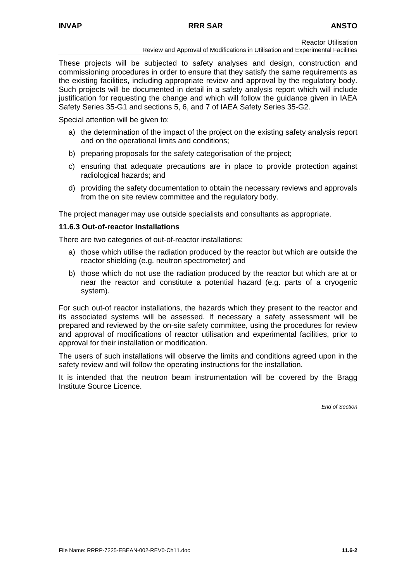#### **INVAP RRR SAR ANSTO**

Reactor Utilisation

Review and Approval of Modifications in Utilisation and Experimental Facilities

These projects will be subjected to safety analyses and design, construction and commissioning procedures in order to ensure that they satisfy the same requirements as the existing facilities, including appropriate review and approval by the regulatory body. Such projects will be documented in detail in a safety analysis report which will include justification for requesting the change and which will follow the guidance given in IAEA Safety Series 35-G1 and sections 5, 6, and 7 of IAEA Safety Series 35-G2.

Special attention will be given to:

- a) the determination of the impact of the project on the existing safety analysis report and on the operational limits and conditions;
- b) preparing proposals for the safety categorisation of the project;
- c) ensuring that adequate precautions are in place to provide protection against radiological hazards; and
- d) providing the safety documentation to obtain the necessary reviews and approvals from the on site review committee and the regulatory body.

The project manager may use outside specialists and consultants as appropriate.

#### **11.6.3 Out-of-reactor Installations**

There are two categories of out-of-reactor installations:

- a) those which utilise the radiation produced by the reactor but which are outside the reactor shielding (e.g. neutron spectrometer) and
- b) those which do not use the radiation produced by the reactor but which are at or near the reactor and constitute a potential hazard (e.g. parts of a cryogenic system).

For such out-of reactor installations, the hazards which they present to the reactor and its associated systems will be assessed. If necessary a safety assessment will be prepared and reviewed by the on-site safety committee, using the procedures for review and approval of modifications of reactor utilisation and experimental facilities, prior to approval for their installation or modification.

The users of such installations will observe the limits and conditions agreed upon in the safety review and will follow the operating instructions for the installation.

It is intended that the neutron beam instrumentation will be covered by the Bragg Institute Source Licence.

*End of Section*